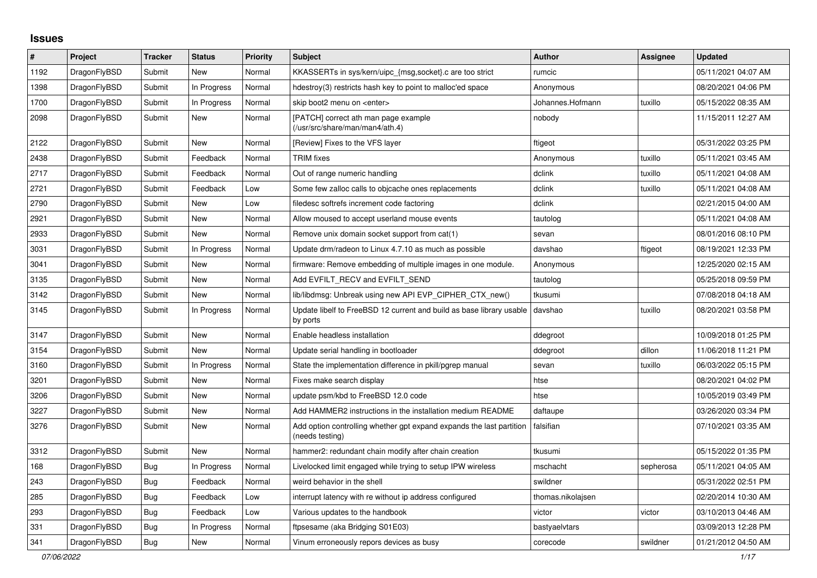## **Issues**

| $\vert$ # | Project      | <b>Tracker</b> | <b>Status</b> | <b>Priority</b> | <b>Subject</b>                                                                          | <b>Author</b>     | Assignee  | Updated             |
|-----------|--------------|----------------|---------------|-----------------|-----------------------------------------------------------------------------------------|-------------------|-----------|---------------------|
| 1192      | DragonFlyBSD | Submit         | <b>New</b>    | Normal          | KKASSERTs in sys/kern/uipc_{msg,socket}.c are too strict                                | rumcic            |           | 05/11/2021 04:07 AM |
| 1398      | DragonFlyBSD | Submit         | In Progress   | Normal          | hdestroy(3) restricts hash key to point to malloc'ed space                              | Anonymous         |           | 08/20/2021 04:06 PM |
| 1700      | DragonFlyBSD | Submit         | In Progress   | Normal          | skip boot2 menu on <enter></enter>                                                      | Johannes.Hofmann  | tuxillo   | 05/15/2022 08:35 AM |
| 2098      | DragonFlyBSD | Submit         | New           | Normal          | [PATCH] correct ath man page example<br>(/usr/src/share/man/man4/ath.4)                 | nobody            |           | 11/15/2011 12:27 AM |
| 2122      | DragonFlyBSD | Submit         | <b>New</b>    | Normal          | [Review] Fixes to the VFS layer                                                         | ftigeot           |           | 05/31/2022 03:25 PM |
| 2438      | DragonFlyBSD | Submit         | Feedback      | Normal          | <b>TRIM</b> fixes                                                                       | Anonymous         | tuxillo   | 05/11/2021 03:45 AM |
| 2717      | DragonFlyBSD | Submit         | Feedback      | Normal          | Out of range numeric handling                                                           | dclink            | tuxillo   | 05/11/2021 04:08 AM |
| 2721      | DragonFlyBSD | Submit         | Feedback      | Low             | Some few zalloc calls to objcache ones replacements                                     | dclink            | tuxillo   | 05/11/2021 04:08 AM |
| 2790      | DragonFlyBSD | Submit         | <b>New</b>    | Low             | filedesc softrefs increment code factoring                                              | dclink            |           | 02/21/2015 04:00 AM |
| 2921      | DragonFlyBSD | Submit         | <b>New</b>    | Normal          | Allow moused to accept userland mouse events                                            | tautolog          |           | 05/11/2021 04:08 AM |
| 2933      | DragonFlyBSD | Submit         | <b>New</b>    | Normal          | Remove unix domain socket support from cat(1)                                           | sevan             |           | 08/01/2016 08:10 PM |
| 3031      | DragonFlyBSD | Submit         | In Progress   | Normal          | Update drm/radeon to Linux 4.7.10 as much as possible                                   | davshao           | ftigeot   | 08/19/2021 12:33 PM |
| 3041      | DragonFlyBSD | Submit         | <b>New</b>    | Normal          | firmware: Remove embedding of multiple images in one module.                            | Anonymous         |           | 12/25/2020 02:15 AM |
| 3135      | DragonFlyBSD | Submit         | <b>New</b>    | Normal          | Add EVFILT_RECV and EVFILT_SEND                                                         | tautolog          |           | 05/25/2018 09:59 PM |
| 3142      | DragonFlyBSD | Submit         | <b>New</b>    | Normal          | lib/libdmsg: Unbreak using new API EVP_CIPHER_CTX_new()                                 | tkusumi           |           | 07/08/2018 04:18 AM |
| 3145      | DragonFlyBSD | Submit         | In Progress   | Normal          | Update libelf to FreeBSD 12 current and build as base library usable<br>by ports        | davshao           | tuxillo   | 08/20/2021 03:58 PM |
| 3147      | DragonFlyBSD | Submit         | <b>New</b>    | Normal          | Enable headless installation                                                            | ddegroot          |           | 10/09/2018 01:25 PM |
| 3154      | DragonFlyBSD | Submit         | <b>New</b>    | Normal          | Update serial handling in bootloader                                                    | ddegroot          | dillon    | 11/06/2018 11:21 PM |
| 3160      | DragonFlyBSD | Submit         | In Progress   | Normal          | State the implementation difference in pkill/pgrep manual                               | sevan             | tuxillo   | 06/03/2022 05:15 PM |
| 3201      | DragonFlyBSD | Submit         | <b>New</b>    | Normal          | Fixes make search display                                                               | htse              |           | 08/20/2021 04:02 PM |
| 3206      | DragonFlyBSD | Submit         | <b>New</b>    | Normal          | update psm/kbd to FreeBSD 12.0 code                                                     | htse              |           | 10/05/2019 03:49 PM |
| 3227      | DragonFlyBSD | Submit         | <b>New</b>    | Normal          | Add HAMMER2 instructions in the installation medium README                              | daftaupe          |           | 03/26/2020 03:34 PM |
| 3276      | DragonFlyBSD | Submit         | <b>New</b>    | Normal          | Add option controlling whether gpt expand expands the last partition<br>(needs testing) | falsifian         |           | 07/10/2021 03:35 AM |
| 3312      | DragonFlyBSD | Submit         | <b>New</b>    | Normal          | hammer2: redundant chain modify after chain creation                                    | tkusumi           |           | 05/15/2022 01:35 PM |
| 168       | DragonFlyBSD | <b>Bug</b>     | In Progress   | Normal          | Livelocked limit engaged while trying to setup IPW wireless                             | mschacht          | sepherosa | 05/11/2021 04:05 AM |
| 243       | DragonFlyBSD | <b>Bug</b>     | Feedback      | Normal          | weird behavior in the shell                                                             | swildner          |           | 05/31/2022 02:51 PM |
| 285       | DragonFlyBSD | Bug            | Feedback      | Low             | interrupt latency with re without ip address configured                                 | thomas.nikolajsen |           | 02/20/2014 10:30 AM |
| 293       | DragonFlyBSD | Bug            | Feedback      | Low             | Various updates to the handbook                                                         | victor            | victor    | 03/10/2013 04:46 AM |
| 331       | DragonFlyBSD | <b>Bug</b>     | In Progress   | Normal          | ftpsesame (aka Bridging S01E03)                                                         | bastyaelvtars     |           | 03/09/2013 12:28 PM |
| 341       | DragonFlyBSD | <b>Bug</b>     | New           | Normal          | Vinum erroneously repors devices as busy                                                | corecode          | swildner  | 01/21/2012 04:50 AM |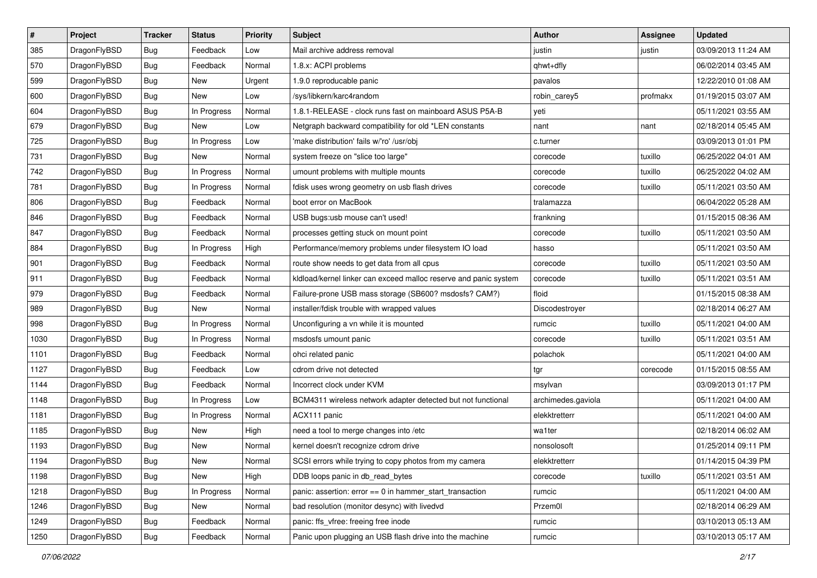| $\sharp$ | Project      | <b>Tracker</b> | <b>Status</b> | <b>Priority</b> | Subject                                                          | <b>Author</b>      | <b>Assignee</b> | <b>Updated</b>      |
|----------|--------------|----------------|---------------|-----------------|------------------------------------------------------------------|--------------------|-----------------|---------------------|
| 385      | DragonFlyBSD | Bug            | Feedback      | Low             | Mail archive address removal                                     | justin             | justin          | 03/09/2013 11:24 AM |
| 570      | DragonFlyBSD | <b>Bug</b>     | Feedback      | Normal          | 1.8.x: ACPI problems                                             | qhwt+dfly          |                 | 06/02/2014 03:45 AM |
| 599      | DragonFlyBSD | <b>Bug</b>     | New           | Urgent          | 1.9.0 reproducable panic                                         | pavalos            |                 | 12/22/2010 01:08 AM |
| 600      | DragonFlyBSD | <b>Bug</b>     | New           | Low             | /sys/libkern/karc4random                                         | robin_carey5       | profmakx        | 01/19/2015 03:07 AM |
| 604      | DragonFlyBSD | <b>Bug</b>     | In Progress   | Normal          | 1.8.1-RELEASE - clock runs fast on mainboard ASUS P5A-B          | yeti               |                 | 05/11/2021 03:55 AM |
| 679      | DragonFlyBSD | <b>Bug</b>     | New           | Low             | Netgraph backward compatibility for old *LEN constants           | nant               | nant            | 02/18/2014 05:45 AM |
| 725      | DragonFlyBSD | Bug            | In Progress   | Low             | 'make distribution' fails w/'ro' /usr/obj                        | c.turner           |                 | 03/09/2013 01:01 PM |
| 731      | DragonFlyBSD | Bug            | New           | Normal          | system freeze on "slice too large"                               | corecode           | tuxillo         | 06/25/2022 04:01 AM |
| 742      | DragonFlyBSD | Bug            | In Progress   | Normal          | umount problems with multiple mounts                             | corecode           | tuxillo         | 06/25/2022 04:02 AM |
| 781      | DragonFlyBSD | Bug            | In Progress   | Normal          | fdisk uses wrong geometry on usb flash drives                    | corecode           | tuxillo         | 05/11/2021 03:50 AM |
| 806      | DragonFlyBSD | Bug            | Feedback      | Normal          | boot error on MacBook                                            | tralamazza         |                 | 06/04/2022 05:28 AM |
| 846      | DragonFlyBSD | Bug            | Feedback      | Normal          | USB bugs:usb mouse can't used!                                   | frankning          |                 | 01/15/2015 08:36 AM |
| 847      | DragonFlyBSD | <b>Bug</b>     | Feedback      | Normal          | processes getting stuck on mount point                           | corecode           | tuxillo         | 05/11/2021 03:50 AM |
| 884      | DragonFlyBSD | Bug            | In Progress   | High            | Performance/memory problems under filesystem IO load             | hasso              |                 | 05/11/2021 03:50 AM |
| 901      | DragonFlyBSD | Bug            | Feedback      | Normal          | route show needs to get data from all cpus                       | corecode           | tuxillo         | 05/11/2021 03:50 AM |
| 911      | DragonFlyBSD | <b>Bug</b>     | Feedback      | Normal          | kldload/kernel linker can exceed malloc reserve and panic system | corecode           | tuxillo         | 05/11/2021 03:51 AM |
| 979      | DragonFlyBSD | <b>Bug</b>     | Feedback      | Normal          | Failure-prone USB mass storage (SB600? msdosfs? CAM?)            | floid              |                 | 01/15/2015 08:38 AM |
| 989      | DragonFlyBSD | Bug            | <b>New</b>    | Normal          | installer/fdisk trouble with wrapped values                      | Discodestroyer     |                 | 02/18/2014 06:27 AM |
| 998      | DragonFlyBSD | <b>Bug</b>     | In Progress   | Normal          | Unconfiguring a vn while it is mounted                           | rumcic             | tuxillo         | 05/11/2021 04:00 AM |
| 1030     | DragonFlyBSD | Bug            | In Progress   | Normal          | msdosfs umount panic                                             | corecode           | tuxillo         | 05/11/2021 03:51 AM |
| 1101     | DragonFlyBSD | Bug            | Feedback      | Normal          | ohci related panic                                               | polachok           |                 | 05/11/2021 04:00 AM |
| 1127     | DragonFlyBSD | <b>Bug</b>     | Feedback      | Low             | cdrom drive not detected                                         | tgr                | corecode        | 01/15/2015 08:55 AM |
| 1144     | DragonFlyBSD | Bug            | Feedback      | Normal          | Incorrect clock under KVM                                        | msylvan            |                 | 03/09/2013 01:17 PM |
| 1148     | DragonFlyBSD | <b>Bug</b>     | In Progress   | Low             | BCM4311 wireless network adapter detected but not functional     | archimedes.gaviola |                 | 05/11/2021 04:00 AM |
| 1181     | DragonFlyBSD | Bug            | In Progress   | Normal          | ACX111 panic                                                     | elekktretterr      |                 | 05/11/2021 04:00 AM |
| 1185     | DragonFlyBSD | Bug            | New           | High            | need a tool to merge changes into /etc                           | wa1ter             |                 | 02/18/2014 06:02 AM |
| 1193     | DragonFlyBSD | Bug            | <b>New</b>    | Normal          | kernel doesn't recognize cdrom drive                             | nonsolosoft        |                 | 01/25/2014 09:11 PM |
| 1194     | DragonFlyBSD | <b>Bug</b>     | New           | Normal          | SCSI errors while trying to copy photos from my camera           | elekktretterr      |                 | 01/14/2015 04:39 PM |
| 1198     | DragonFlyBSD | Bug            | New           | High            | DDB loops panic in db read bytes                                 | corecode           | tuxillo         | 05/11/2021 03:51 AM |
| 1218     | DragonFlyBSD | <b>Bug</b>     | In Progress   | Normal          | panic: assertion: $error == 0$ in hammer start transaction       | rumcic             |                 | 05/11/2021 04:00 AM |
| 1246     | DragonFlyBSD | <b>Bug</b>     | New           | Normal          | bad resolution (monitor desync) with livedvd                     | Przem0l            |                 | 02/18/2014 06:29 AM |
| 1249     | DragonFlyBSD | <b>Bug</b>     | Feedback      | Normal          | panic: ffs_vfree: freeing free inode                             | rumcic             |                 | 03/10/2013 05:13 AM |
| 1250     | DragonFlyBSD | <b>Bug</b>     | Feedback      | Normal          | Panic upon plugging an USB flash drive into the machine          | rumcic             |                 | 03/10/2013 05:17 AM |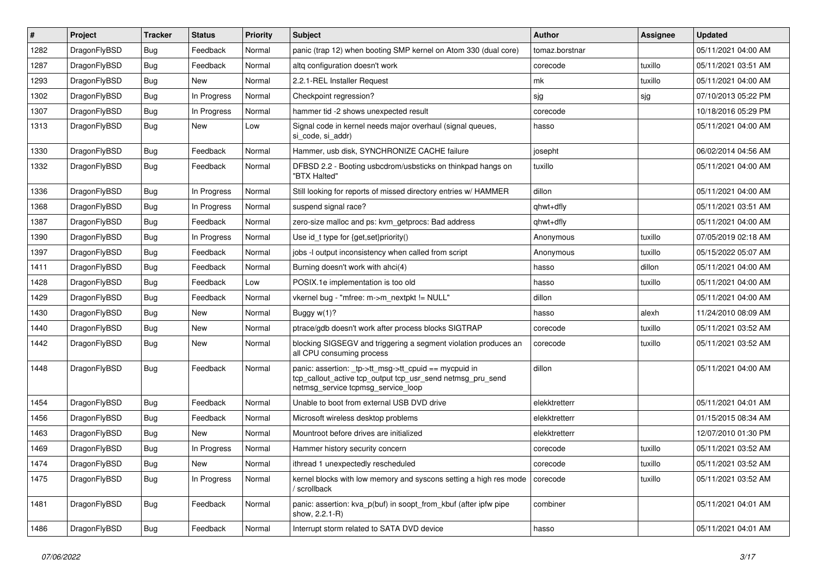| #    | Project      | <b>Tracker</b> | <b>Status</b> | <b>Priority</b> | <b>Subject</b>                                                                                                                                            | <b>Author</b>  | Assignee | <b>Updated</b>      |
|------|--------------|----------------|---------------|-----------------|-----------------------------------------------------------------------------------------------------------------------------------------------------------|----------------|----------|---------------------|
| 1282 | DragonFlyBSD | <b>Bug</b>     | Feedback      | Normal          | panic (trap 12) when booting SMP kernel on Atom 330 (dual core)                                                                                           | tomaz.borstnar |          | 05/11/2021 04:00 AM |
| 1287 | DragonFlyBSD | <b>Bug</b>     | Feedback      | Normal          | altg configuration doesn't work                                                                                                                           | corecode       | tuxillo  | 05/11/2021 03:51 AM |
| 1293 | DragonFlyBSD | <b>Bug</b>     | New           | Normal          | 2.2.1-REL Installer Request                                                                                                                               | mk             | tuxillo  | 05/11/2021 04:00 AM |
| 1302 | DragonFlyBSD | Bug            | In Progress   | Normal          | Checkpoint regression?                                                                                                                                    | sjg            | sjg      | 07/10/2013 05:22 PM |
| 1307 | DragonFlyBSD | <b>Bug</b>     | In Progress   | Normal          | hammer tid -2 shows unexpected result                                                                                                                     | corecode       |          | 10/18/2016 05:29 PM |
| 1313 | DragonFlyBSD | Bug            | New           | Low             | Signal code in kernel needs major overhaul (signal queues,<br>si_code, si_addr)                                                                           | hasso          |          | 05/11/2021 04:00 AM |
| 1330 | DragonFlyBSD | <b>Bug</b>     | Feedback      | Normal          | Hammer, usb disk, SYNCHRONIZE CACHE failure                                                                                                               | josepht        |          | 06/02/2014 04:56 AM |
| 1332 | DragonFlyBSD | Bug            | Feedback      | Normal          | DFBSD 2.2 - Booting usbcdrom/usbsticks on thinkpad hangs on<br>"BTX Halted"                                                                               | tuxillo        |          | 05/11/2021 04:00 AM |
| 1336 | DragonFlyBSD | <b>Bug</b>     | In Progress   | Normal          | Still looking for reports of missed directory entries w/ HAMMER                                                                                           | dillon         |          | 05/11/2021 04:00 AM |
| 1368 | DragonFlyBSD | Bug            | In Progress   | Normal          | suspend signal race?                                                                                                                                      | qhwt+dfly      |          | 05/11/2021 03:51 AM |
| 1387 | DragonFlyBSD | <b>Bug</b>     | Feedback      | Normal          | zero-size malloc and ps: kvm_getprocs: Bad address                                                                                                        | qhwt+dfly      |          | 05/11/2021 04:00 AM |
| 1390 | DragonFlyBSD | <b>Bug</b>     | In Progress   | Normal          | Use id_t type for {get,set}priority()                                                                                                                     | Anonymous      | tuxillo  | 07/05/2019 02:18 AM |
| 1397 | DragonFlyBSD | Bug            | Feedback      | Normal          | jobs -I output inconsistency when called from script                                                                                                      | Anonymous      | tuxillo  | 05/15/2022 05:07 AM |
| 1411 | DragonFlyBSD | <b>Bug</b>     | Feedback      | Normal          | Burning doesn't work with ahci(4)                                                                                                                         | hasso          | dillon   | 05/11/2021 04:00 AM |
| 1428 | DragonFlyBSD | Bug            | Feedback      | Low             | POSIX.1e implementation is too old                                                                                                                        | hasso          | tuxillo  | 05/11/2021 04:00 AM |
| 1429 | DragonFlyBSD | <b>Bug</b>     | Feedback      | Normal          | vkernel bug - "mfree: m->m_nextpkt != NULL"                                                                                                               | dillon         |          | 05/11/2021 04:00 AM |
| 1430 | DragonFlyBSD | Bug            | New           | Normal          | Buggy $w(1)$ ?                                                                                                                                            | hasso          | alexh    | 11/24/2010 08:09 AM |
| 1440 | DragonFlyBSD | Bug            | <b>New</b>    | Normal          | ptrace/gdb doesn't work after process blocks SIGTRAP                                                                                                      | corecode       | tuxillo  | 05/11/2021 03:52 AM |
| 1442 | DragonFlyBSD | Bug            | New           | Normal          | blocking SIGSEGV and triggering a segment violation produces an<br>all CPU consuming process                                                              | corecode       | tuxillo  | 05/11/2021 03:52 AM |
| 1448 | DragonFlyBSD | <b>Bug</b>     | Feedback      | Normal          | panic: assertion: _tp->tt_msg->tt_cpuid == mycpuid in<br>tcp_callout_active tcp_output tcp_usr_send netmsg_pru_send<br>netmsg_service tcpmsg_service_loop | dillon         |          | 05/11/2021 04:00 AM |
| 1454 | DragonFlyBSD | Bug            | Feedback      | Normal          | Unable to boot from external USB DVD drive                                                                                                                | elekktretterr  |          | 05/11/2021 04:01 AM |
| 1456 | DragonFlyBSD | Bug            | Feedback      | Normal          | Microsoft wireless desktop problems                                                                                                                       | elekktretterr  |          | 01/15/2015 08:34 AM |
| 1463 | DragonFlyBSD | Bug            | New           | Normal          | Mountroot before drives are initialized                                                                                                                   | elekktretterr  |          | 12/07/2010 01:30 PM |
| 1469 | DragonFlyBSD | <b>Bug</b>     | In Progress   | Normal          | Hammer history security concern                                                                                                                           | corecode       | tuxillo  | 05/11/2021 03:52 AM |
| 1474 | DragonFlyBSD | <b>Bug</b>     | New           | Normal          | ithread 1 unexpectedly rescheduled                                                                                                                        | corecode       | tuxillo  | 05/11/2021 03:52 AM |
| 1475 | DragonFlyBSD | <b>Bug</b>     | In Progress   | Normal          | kernel blocks with low memory and syscons setting a high res mode<br>/ scrollback                                                                         | corecode       | tuxillo  | 05/11/2021 03:52 AM |
| 1481 | DragonFlyBSD | <b>Bug</b>     | Feedback      | Normal          | panic: assertion: kva_p(buf) in soopt_from_kbuf (after ipfw pipe<br>show, 2.2.1-R)                                                                        | combiner       |          | 05/11/2021 04:01 AM |
| 1486 | DragonFlyBSD | <b>Bug</b>     | Feedback      | Normal          | Interrupt storm related to SATA DVD device                                                                                                                | hasso          |          | 05/11/2021 04:01 AM |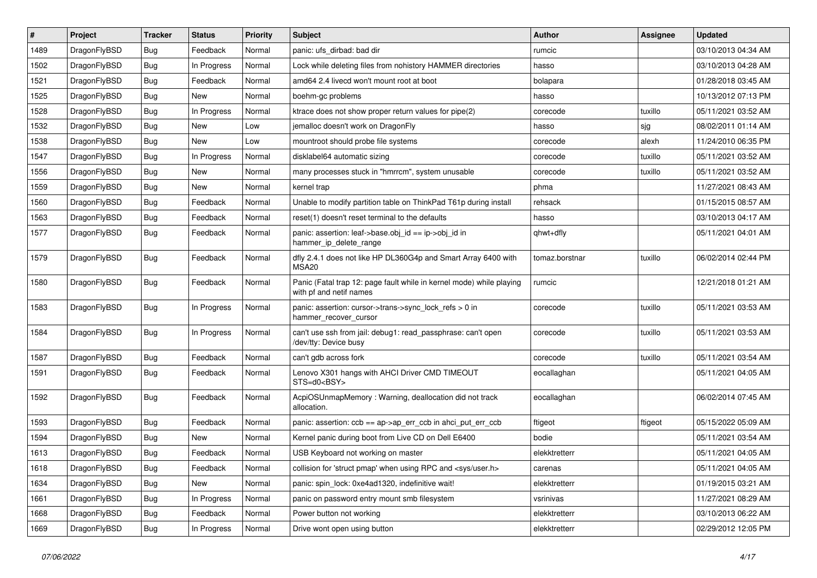| ∦    | Project      | <b>Tracker</b> | <b>Status</b> | <b>Priority</b> | <b>Subject</b>                                                                                  | <b>Author</b>  | <b>Assignee</b> | <b>Updated</b>      |
|------|--------------|----------------|---------------|-----------------|-------------------------------------------------------------------------------------------------|----------------|-----------------|---------------------|
| 1489 | DragonFlyBSD | <b>Bug</b>     | Feedback      | Normal          | panic: ufs dirbad: bad dir                                                                      | rumcic         |                 | 03/10/2013 04:34 AM |
| 1502 | DragonFlyBSD | <b>Bug</b>     | In Progress   | Normal          | Lock while deleting files from nohistory HAMMER directories                                     | hasso          |                 | 03/10/2013 04:28 AM |
| 1521 | DragonFlyBSD | <b>Bug</b>     | Feedback      | Normal          | amd64 2.4 livecd won't mount root at boot                                                       | bolapara       |                 | 01/28/2018 03:45 AM |
| 1525 | DragonFlyBSD | <b>Bug</b>     | <b>New</b>    | Normal          | boehm-gc problems                                                                               | hasso          |                 | 10/13/2012 07:13 PM |
| 1528 | DragonFlyBSD | <b>Bug</b>     | In Progress   | Normal          | ktrace does not show proper return values for pipe(2)                                           | corecode       | tuxillo         | 05/11/2021 03:52 AM |
| 1532 | DragonFlyBSD | <b>Bug</b>     | <b>New</b>    | Low             | jemalloc doesn't work on DragonFly                                                              | hasso          | sjg             | 08/02/2011 01:14 AM |
| 1538 | DragonFlyBSD | <b>Bug</b>     | <b>New</b>    | Low             | mountroot should probe file systems                                                             | corecode       | alexh           | 11/24/2010 06:35 PM |
| 1547 | DragonFlyBSD | <b>Bug</b>     | In Progress   | Normal          | disklabel64 automatic sizing                                                                    | corecode       | tuxillo         | 05/11/2021 03:52 AM |
| 1556 | DragonFlyBSD | Bug            | <b>New</b>    | Normal          | many processes stuck in "hmrrcm", system unusable                                               | corecode       | tuxillo         | 05/11/2021 03:52 AM |
| 1559 | DragonFlyBSD | <b>Bug</b>     | <b>New</b>    | Normal          | kernel trap                                                                                     | phma           |                 | 11/27/2021 08:43 AM |
| 1560 | DragonFlyBSD | <b>Bug</b>     | Feedback      | Normal          | Unable to modify partition table on ThinkPad T61p during install                                | rehsack        |                 | 01/15/2015 08:57 AM |
| 1563 | DragonFlyBSD | Bug            | Feedback      | Normal          | reset(1) doesn't reset terminal to the defaults                                                 | hasso          |                 | 03/10/2013 04:17 AM |
| 1577 | DragonFlyBSD | Bug            | Feedback      | Normal          | panic: assertion: leaf->base.obj_id == ip->obj_id in<br>hammer_ip_delete_range                  | qhwt+dfly      |                 | 05/11/2021 04:01 AM |
| 1579 | DragonFlyBSD | <b>Bug</b>     | Feedback      | Normal          | dfly 2.4.1 does not like HP DL360G4p and Smart Array 6400 with<br>MSA <sub>20</sub>             | tomaz.borstnar | tuxillo         | 06/02/2014 02:44 PM |
| 1580 | DragonFlyBSD | Bug            | Feedback      | Normal          | Panic (Fatal trap 12: page fault while in kernel mode) while playing<br>with pf and netif names | rumcic         |                 | 12/21/2018 01:21 AM |
| 1583 | DragonFlyBSD | <b>Bug</b>     | In Progress   | Normal          | panic: assertion: cursor->trans->sync_lock_refs > 0 in<br>hammer_recover_cursor                 | corecode       | tuxillo         | 05/11/2021 03:53 AM |
| 1584 | DragonFlyBSD | Bug            | In Progress   | Normal          | can't use ssh from jail: debug1: read_passphrase: can't open<br>/dev/tty: Device busy           | corecode       | tuxillo         | 05/11/2021 03:53 AM |
| 1587 | DragonFlyBSD | Bug            | Feedback      | Normal          | can't gdb across fork                                                                           | corecode       | tuxillo         | 05/11/2021 03:54 AM |
| 1591 | DragonFlyBSD | Bug            | Feedback      | Normal          | Lenovo X301 hangs with AHCI Driver CMD TIMEOUT<br>STS=d0 <bsy></bsy>                            | eocallaghan    |                 | 05/11/2021 04:05 AM |
| 1592 | DragonFlyBSD | <b>Bug</b>     | Feedback      | Normal          | AcpiOSUnmapMemory: Warning, deallocation did not track<br>allocation.                           | eocallaghan    |                 | 06/02/2014 07:45 AM |
| 1593 | DragonFlyBSD | <b>Bug</b>     | Feedback      | Normal          | panic: assertion: ccb == ap->ap_err_ccb in ahci_put_err_ccb                                     | ftigeot        | ftigeot         | 05/15/2022 05:09 AM |
| 1594 | DragonFlyBSD | <b>Bug</b>     | <b>New</b>    | Normal          | Kernel panic during boot from Live CD on Dell E6400                                             | bodie          |                 | 05/11/2021 03:54 AM |
| 1613 | DragonFlyBSD | <b>Bug</b>     | Feedback      | Normal          | USB Keyboard not working on master                                                              | elekktretterr  |                 | 05/11/2021 04:05 AM |
| 1618 | DragonFlyBSD | <b>Bug</b>     | Feedback      | Normal          | collision for 'struct pmap' when using RPC and <sys user.h=""></sys>                            | carenas        |                 | 05/11/2021 04:05 AM |
| 1634 | DragonFlyBSD | <b>Bug</b>     | New           | Normal          | panic: spin lock: 0xe4ad1320, indefinitive wait!                                                | elekktretterr  |                 | 01/19/2015 03:21 AM |
| 1661 | DragonFlyBSD | <b>Bug</b>     | In Progress   | Normal          | panic on password entry mount smb filesystem                                                    | vsrinivas      |                 | 11/27/2021 08:29 AM |
| 1668 | DragonFlyBSD | <b>Bug</b>     | Feedback      | Normal          | Power button not working                                                                        | elekktretterr  |                 | 03/10/2013 06:22 AM |
| 1669 | DragonFlyBSD | <b>Bug</b>     | In Progress   | Normal          | Drive wont open using button                                                                    | elekktretterr  |                 | 02/29/2012 12:05 PM |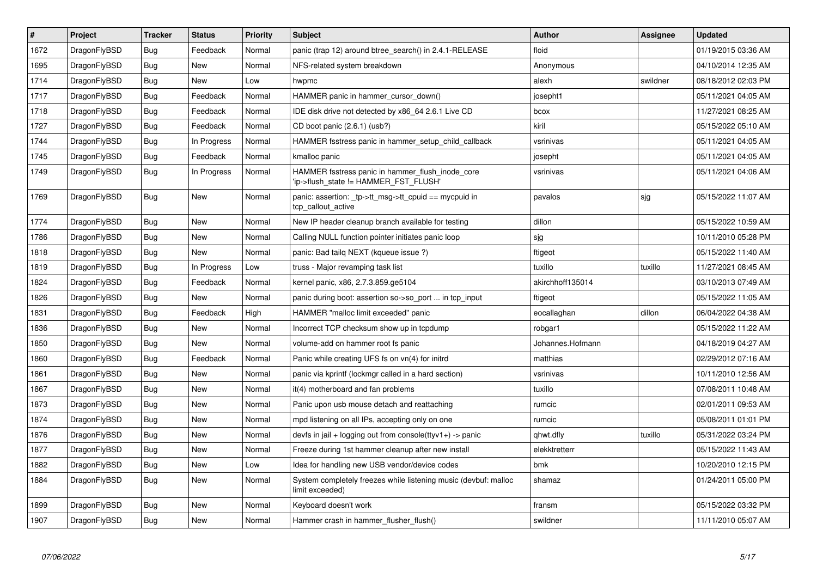| $\vert$ # | Project      | <b>Tracker</b> | <b>Status</b> | <b>Priority</b> | <b>Subject</b>                                                                           | <b>Author</b>    | Assignee | <b>Updated</b>      |
|-----------|--------------|----------------|---------------|-----------------|------------------------------------------------------------------------------------------|------------------|----------|---------------------|
| 1672      | DragonFlyBSD | <b>Bug</b>     | Feedback      | Normal          | panic (trap 12) around btree search() in 2.4.1-RELEASE                                   | floid            |          | 01/19/2015 03:36 AM |
| 1695      | DragonFlyBSD | <b>Bug</b>     | <b>New</b>    | Normal          | NFS-related system breakdown                                                             | Anonymous        |          | 04/10/2014 12:35 AM |
| 1714      | DragonFlyBSD | <b>Bug</b>     | <b>New</b>    | Low             | hwpmc                                                                                    | alexh            | swildner | 08/18/2012 02:03 PM |
| 1717      | DragonFlyBSD | Bug            | Feedback      | Normal          | HAMMER panic in hammer_cursor_down()                                                     | josepht1         |          | 05/11/2021 04:05 AM |
| 1718      | DragonFlyBSD | <b>Bug</b>     | Feedback      | Normal          | IDE disk drive not detected by x86 64 2.6.1 Live CD                                      | bcox             |          | 11/27/2021 08:25 AM |
| 1727      | DragonFlyBSD | <b>Bug</b>     | Feedback      | Normal          | CD boot panic (2.6.1) (usb?)                                                             | kiril            |          | 05/15/2022 05:10 AM |
| 1744      | DragonFlyBSD | <b>Bug</b>     | In Progress   | Normal          | HAMMER fsstress panic in hammer_setup_child_callback                                     | vsrinivas        |          | 05/11/2021 04:05 AM |
| 1745      | DragonFlyBSD | <b>Bug</b>     | Feedback      | Normal          | kmalloc panic                                                                            | josepht          |          | 05/11/2021 04:05 AM |
| 1749      | DragonFlyBSD | Bug            | In Progress   | Normal          | HAMMER fsstress panic in hammer flush inode core<br>ip->flush_state != HAMMER_FST_FLUSH' | vsrinivas        |          | 05/11/2021 04:06 AM |
| 1769      | DragonFlyBSD | <b>Bug</b>     | <b>New</b>    | Normal          | panic: assertion: _tp->tt_msg->tt_cpuid == mycpuid in<br>tcp_callout_active              | pavalos          | sjg      | 05/15/2022 11:07 AM |
| 1774      | DragonFlyBSD | Bug            | <b>New</b>    | Normal          | New IP header cleanup branch available for testing                                       | dillon           |          | 05/15/2022 10:59 AM |
| 1786      | DragonFlyBSD | <b>Bug</b>     | <b>New</b>    | Normal          | Calling NULL function pointer initiates panic loop                                       | sjg              |          | 10/11/2010 05:28 PM |
| 1818      | DragonFlyBSD | Bug            | <b>New</b>    | Normal          | panic: Bad tailg NEXT (kqueue issue ?)                                                   | ftigeot          |          | 05/15/2022 11:40 AM |
| 1819      | DragonFlyBSD | <b>Bug</b>     | In Progress   | Low             | truss - Major revamping task list                                                        | tuxillo          | tuxillo  | 11/27/2021 08:45 AM |
| 1824      | DragonFlyBSD | Bug            | Feedback      | Normal          | kernel panic, x86, 2.7.3.859.ge5104                                                      | akirchhoff135014 |          | 03/10/2013 07:49 AM |
| 1826      | DragonFlyBSD | <b>Bug</b>     | <b>New</b>    | Normal          | panic during boot: assertion so->so port  in tcp input                                   | ftigeot          |          | 05/15/2022 11:05 AM |
| 1831      | DragonFlyBSD | Bug            | Feedback      | High            | HAMMER "malloc limit exceeded" panic                                                     | eocallaghan      | dillon   | 06/04/2022 04:38 AM |
| 1836      | DragonFlyBSD | <b>Bug</b>     | <b>New</b>    | Normal          | Incorrect TCP checksum show up in tcpdump                                                | robgar1          |          | 05/15/2022 11:22 AM |
| 1850      | DragonFlyBSD | Bug            | <b>New</b>    | Normal          | volume-add on hammer root fs panic                                                       | Johannes.Hofmann |          | 04/18/2019 04:27 AM |
| 1860      | DragonFlyBSD | <b>Bug</b>     | Feedback      | Normal          | Panic while creating UFS fs on vn(4) for initrd                                          | matthias         |          | 02/29/2012 07:16 AM |
| 1861      | DragonFlyBSD | <b>Bug</b>     | <b>New</b>    | Normal          | panic via kprintf (lockmgr called in a hard section)                                     | vsrinivas        |          | 10/11/2010 12:56 AM |
| 1867      | DragonFlyBSD | <b>Bug</b>     | <b>New</b>    | Normal          | it(4) motherboard and fan problems                                                       | tuxillo          |          | 07/08/2011 10:48 AM |
| 1873      | DragonFlyBSD | <b>Bug</b>     | <b>New</b>    | Normal          | Panic upon usb mouse detach and reattaching                                              | rumcic           |          | 02/01/2011 09:53 AM |
| 1874      | DragonFlyBSD | <b>Bug</b>     | <b>New</b>    | Normal          | mpd listening on all IPs, accepting only on one                                          | rumcic           |          | 05/08/2011 01:01 PM |
| 1876      | DragonFlyBSD | <b>Bug</b>     | <b>New</b>    | Normal          | devfs in jail + logging out from console(ttyv1+) -> panic                                | qhwt.dfly        | tuxillo  | 05/31/2022 03:24 PM |
| 1877      | DragonFlyBSD | Bug            | <b>New</b>    | Normal          | Freeze during 1st hammer cleanup after new install                                       | elekktretterr    |          | 05/15/2022 11:43 AM |
| 1882      | DragonFlyBSD | Bug            | <b>New</b>    | Low             | Idea for handling new USB vendor/device codes                                            | bmk              |          | 10/20/2010 12:15 PM |
| 1884      | DragonFlyBSD | <b>Bug</b>     | <b>New</b>    | Normal          | System completely freezes while listening music (devbuf: malloc<br>limit exceeded)       | shamaz           |          | 01/24/2011 05:00 PM |
| 1899      | DragonFlyBSD | <b>Bug</b>     | <b>New</b>    | Normal          | Keyboard doesn't work                                                                    | fransm           |          | 05/15/2022 03:32 PM |
| 1907      | DragonFlyBSD | Bug            | New           | Normal          | Hammer crash in hammer flusher flush()                                                   | swildner         |          | 11/11/2010 05:07 AM |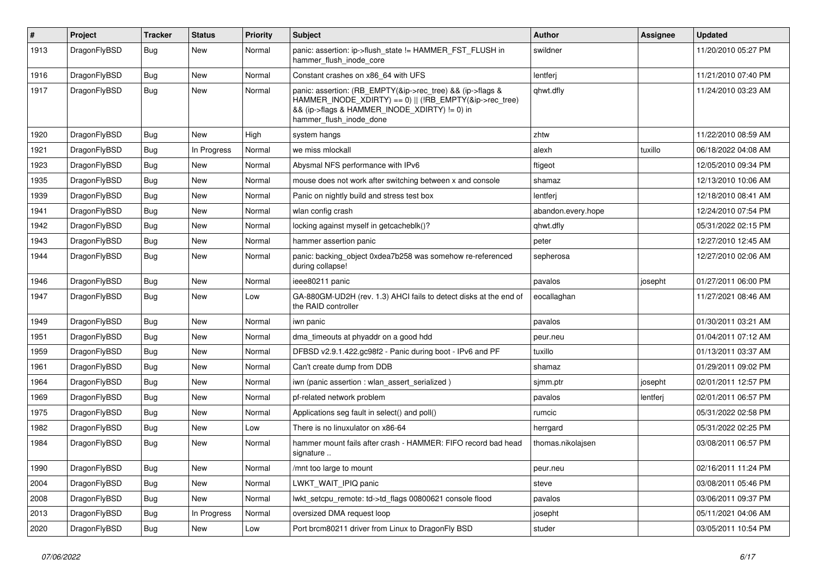| $\vert$ # | Project      | <b>Tracker</b> | <b>Status</b> | <b>Priority</b> | <b>Subject</b>                                                                                                                                                                                    | <b>Author</b>      | <b>Assignee</b> | <b>Updated</b>      |
|-----------|--------------|----------------|---------------|-----------------|---------------------------------------------------------------------------------------------------------------------------------------------------------------------------------------------------|--------------------|-----------------|---------------------|
| 1913      | DragonFlyBSD | Bug            | <b>New</b>    | Normal          | panic: assertion: ip->flush_state != HAMMER_FST_FLUSH in<br>hammer flush inode core                                                                                                               | swildner           |                 | 11/20/2010 05:27 PM |
| 1916      | DragonFlyBSD | Bug            | <b>New</b>    | Normal          | Constant crashes on x86 64 with UFS                                                                                                                                                               | lentferj           |                 | 11/21/2010 07:40 PM |
| 1917      | DragonFlyBSD | Bug            | <b>New</b>    | Normal          | panic: assertion: (RB_EMPTY(&ip->rec_tree) && (ip->flags &<br>HAMMER_INODE_XDIRTY) == 0)    (!RB_EMPTY(&ip->rec_tree)<br>&& (ip->flags & HAMMER_INODE_XDIRTY) != 0) in<br>hammer_flush_inode_done | qhwt.dfly          |                 | 11/24/2010 03:23 AM |
| 1920      | DragonFlyBSD | <b>Bug</b>     | New           | High            | system hangs                                                                                                                                                                                      | zhtw               |                 | 11/22/2010 08:59 AM |
| 1921      | DragonFlyBSD | <b>Bug</b>     | In Progress   | Normal          | we miss mlockall                                                                                                                                                                                  | alexh              | tuxillo         | 06/18/2022 04:08 AM |
| 1923      | DragonFlyBSD | <b>Bug</b>     | <b>New</b>    | Normal          | Abysmal NFS performance with IPv6                                                                                                                                                                 | ftigeot            |                 | 12/05/2010 09:34 PM |
| 1935      | DragonFlyBSD | Bug            | <b>New</b>    | Normal          | mouse does not work after switching between x and console                                                                                                                                         | shamaz             |                 | 12/13/2010 10:06 AM |
| 1939      | DragonFlyBSD | Bug            | <b>New</b>    | Normal          | Panic on nightly build and stress test box                                                                                                                                                        | lentferj           |                 | 12/18/2010 08:41 AM |
| 1941      | DragonFlyBSD | <b>Bug</b>     | <b>New</b>    | Normal          | wlan config crash                                                                                                                                                                                 | abandon.every.hope |                 | 12/24/2010 07:54 PM |
| 1942      | DragonFlyBSD | <b>Bug</b>     | <b>New</b>    | Normal          | locking against myself in getcacheblk()?                                                                                                                                                          | qhwt.dfly          |                 | 05/31/2022 02:15 PM |
| 1943      | DragonFlyBSD | Bug            | <b>New</b>    | Normal          | hammer assertion panic                                                                                                                                                                            | peter              |                 | 12/27/2010 12:45 AM |
| 1944      | DragonFlyBSD | Bug            | <b>New</b>    | Normal          | panic: backing object 0xdea7b258 was somehow re-referenced<br>during collapse!                                                                                                                    | sepherosa          |                 | 12/27/2010 02:06 AM |
| 1946      | DragonFlyBSD | Bug            | <b>New</b>    | Normal          | ieee80211 panic                                                                                                                                                                                   | pavalos            | josepht         | 01/27/2011 06:00 PM |
| 1947      | DragonFlyBSD | Bug            | <b>New</b>    | Low             | GA-880GM-UD2H (rev. 1.3) AHCI fails to detect disks at the end of<br>the RAID controller                                                                                                          | eocallaghan        |                 | 11/27/2021 08:46 AM |
| 1949      | DragonFlyBSD | <b>Bug</b>     | <b>New</b>    | Normal          | iwn panic                                                                                                                                                                                         | pavalos            |                 | 01/30/2011 03:21 AM |
| 1951      | DragonFlyBSD | <b>Bug</b>     | <b>New</b>    | Normal          | dma timeouts at phyaddr on a good hdd                                                                                                                                                             | peur.neu           |                 | 01/04/2011 07:12 AM |
| 1959      | DragonFlyBSD | Bug            | <b>New</b>    | Normal          | DFBSD v2.9.1.422.gc98f2 - Panic during boot - IPv6 and PF                                                                                                                                         | tuxillo            |                 | 01/13/2011 03:37 AM |
| 1961      | DragonFlyBSD | <b>Bug</b>     | <b>New</b>    | Normal          | Can't create dump from DDB                                                                                                                                                                        | shamaz             |                 | 01/29/2011 09:02 PM |
| 1964      | DragonFlyBSD | <b>Bug</b>     | New           | Normal          | iwn (panic assertion : wlan assert serialized)                                                                                                                                                    | sjmm.ptr           | josepht         | 02/01/2011 12:57 PM |
| 1969      | DragonFlyBSD | Bug            | <b>New</b>    | Normal          | pf-related network problem                                                                                                                                                                        | pavalos            | lentferj        | 02/01/2011 06:57 PM |
| 1975      | DragonFlyBSD | <b>Bug</b>     | <b>New</b>    | Normal          | Applications seg fault in select() and poll()                                                                                                                                                     | rumcic             |                 | 05/31/2022 02:58 PM |
| 1982      | DragonFlyBSD | Bug            | <b>New</b>    | Low             | There is no linuxulator on x86-64                                                                                                                                                                 | herrgard           |                 | 05/31/2022 02:25 PM |
| 1984      | DragonFlyBSD | <b>Bug</b>     | New           | Normal          | hammer mount fails after crash - HAMMER: FIFO record bad head<br>signature                                                                                                                        | thomas.nikolajsen  |                 | 03/08/2011 06:57 PM |
| 1990      | DragonFlyBSD | Bug            | New           | Normal          | /mnt too large to mount                                                                                                                                                                           | peur.neu           |                 | 02/16/2011 11:24 PM |
| 2004      | DragonFlyBSD | <b>Bug</b>     | New           | Normal          | LWKT_WAIT_IPIQ panic                                                                                                                                                                              | steve              |                 | 03/08/2011 05:46 PM |
| 2008      | DragonFlyBSD | <b>Bug</b>     | New           | Normal          | lwkt_setcpu_remote: td->td_flags 00800621 console flood                                                                                                                                           | pavalos            |                 | 03/06/2011 09:37 PM |
| 2013      | DragonFlyBSD | Bug            | In Progress   | Normal          | oversized DMA request loop                                                                                                                                                                        | josepht            |                 | 05/11/2021 04:06 AM |
| 2020      | DragonFlyBSD | <b>Bug</b>     | New           | Low             | Port brcm80211 driver from Linux to DragonFly BSD                                                                                                                                                 | studer             |                 | 03/05/2011 10:54 PM |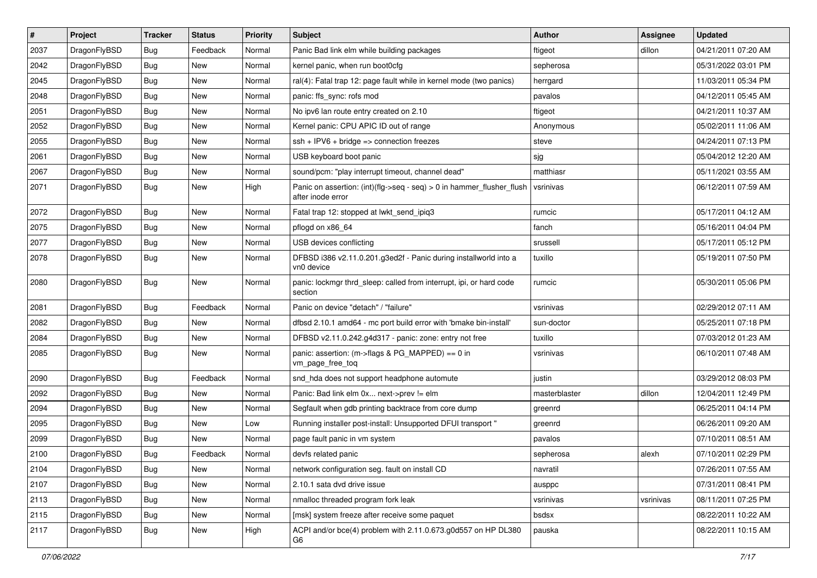| $\pmb{\#}$ | Project      | <b>Tracker</b> | <b>Status</b> | <b>Priority</b> | <b>Subject</b>                                                                             | <b>Author</b> | Assignee  | <b>Updated</b>      |
|------------|--------------|----------------|---------------|-----------------|--------------------------------------------------------------------------------------------|---------------|-----------|---------------------|
| 2037       | DragonFlyBSD | Bug            | Feedback      | Normal          | Panic Bad link elm while building packages                                                 | ftigeot       | dillon    | 04/21/2011 07:20 AM |
| 2042       | DragonFlyBSD | Bug            | <b>New</b>    | Normal          | kernel panic, when run boot0cfg                                                            | sepherosa     |           | 05/31/2022 03:01 PM |
| 2045       | DragonFlyBSD | Bug            | <b>New</b>    | Normal          | ral(4): Fatal trap 12: page fault while in kernel mode (two panics)                        | herrgard      |           | 11/03/2011 05:34 PM |
| 2048       | DragonFlyBSD | Bug            | New           | Normal          | panic: ffs_sync: rofs mod                                                                  | pavalos       |           | 04/12/2011 05:45 AM |
| 2051       | DragonFlyBSD | Bug            | <b>New</b>    | Normal          | No ipv6 lan route entry created on 2.10                                                    | ftigeot       |           | 04/21/2011 10:37 AM |
| 2052       | DragonFlyBSD | Bug            | New           | Normal          | Kernel panic: CPU APIC ID out of range                                                     | Anonymous     |           | 05/02/2011 11:06 AM |
| 2055       | DragonFlyBSD | Bug            | <b>New</b>    | Normal          | $ssh + IPV6 + bridge \Rightarrow connection freezes$                                       | steve         |           | 04/24/2011 07:13 PM |
| 2061       | DragonFlyBSD | Bug            | New           | Normal          | USB keyboard boot panic                                                                    | sjg           |           | 05/04/2012 12:20 AM |
| 2067       | DragonFlyBSD | Bug            | <b>New</b>    | Normal          | sound/pcm: "play interrupt timeout, channel dead"                                          | matthiasr     |           | 05/11/2021 03:55 AM |
| 2071       | DragonFlyBSD | Bug            | <b>New</b>    | High            | Panic on assertion: (int)(flg->seq - seq) > 0 in hammer_flusher_flush<br>after inode error | vsrinivas     |           | 06/12/2011 07:59 AM |
| 2072       | DragonFlyBSD | Bug            | <b>New</b>    | Normal          | Fatal trap 12: stopped at lwkt send ipig3                                                  | rumcic        |           | 05/17/2011 04:12 AM |
| 2075       | DragonFlyBSD | Bug            | <b>New</b>    | Normal          | pflogd on x86_64                                                                           | fanch         |           | 05/16/2011 04:04 PM |
| 2077       | DragonFlyBSD | Bug            | New           | Normal          | USB devices conflicting                                                                    | srussell      |           | 05/17/2011 05:12 PM |
| 2078       | DragonFlyBSD | Bug            | New           | Normal          | DFBSD i386 v2.11.0.201.g3ed2f - Panic during installworld into a<br>vn0 device             | tuxillo       |           | 05/19/2011 07:50 PM |
| 2080       | DragonFlyBSD | Bug            | <b>New</b>    | Normal          | panic: lockmgr thrd_sleep: called from interrupt, ipi, or hard code<br>section             | rumcic        |           | 05/30/2011 05:06 PM |
| 2081       | DragonFlyBSD | Bug            | Feedback      | Normal          | Panic on device "detach" / "failure"                                                       | vsrinivas     |           | 02/29/2012 07:11 AM |
| 2082       | DragonFlyBSD | Bug            | <b>New</b>    | Normal          | dfbsd 2.10.1 amd64 - mc port build error with 'bmake bin-install'                          | sun-doctor    |           | 05/25/2011 07:18 PM |
| 2084       | DragonFlyBSD | Bug            | <b>New</b>    | Normal          | DFBSD v2.11.0.242.g4d317 - panic: zone: entry not free                                     | tuxillo       |           | 07/03/2012 01:23 AM |
| 2085       | DragonFlyBSD | Bug            | New           | Normal          | panic: assertion: (m->flags & PG_MAPPED) == 0 in<br>vm_page_free_toq                       | vsrinivas     |           | 06/10/2011 07:48 AM |
| 2090       | DragonFlyBSD | <b>Bug</b>     | Feedback      | Normal          | snd hda does not support headphone automute                                                | justin        |           | 03/29/2012 08:03 PM |
| 2092       | DragonFlyBSD | Bug            | New           | Normal          | Panic: Bad link elm 0x next->prev != elm                                                   | masterblaster | dillon    | 12/04/2011 12:49 PM |
| 2094       | DragonFlyBSD | Bug            | <b>New</b>    | Normal          | Segfault when gdb printing backtrace from core dump                                        | greenrd       |           | 06/25/2011 04:14 PM |
| 2095       | DragonFlyBSD | Bug            | New           | Low             | Running installer post-install: Unsupported DFUI transport "                               | greenrd       |           | 06/26/2011 09:20 AM |
| 2099       | DragonFlyBSD | Bug            | New           | Normal          | page fault panic in vm system                                                              | pavalos       |           | 07/10/2011 08:51 AM |
| 2100       | DragonFlyBSD | Bug            | Feedback      | Normal          | devfs related panic                                                                        | sepherosa     | alexh     | 07/10/2011 02:29 PM |
| 2104       | DragonFlyBSD | <b>Bug</b>     | New           | Normal          | network configuration seg. fault on install CD                                             | navratil      |           | 07/26/2011 07:55 AM |
| 2107       | DragonFlyBSD | Bug            | New           | Normal          | 2.10.1 sata dvd drive issue                                                                | ausppc        |           | 07/31/2011 08:41 PM |
| 2113       | DragonFlyBSD | <b>Bug</b>     | New           | Normal          | nmalloc threaded program fork leak                                                         | vsrinivas     | vsrinivas | 08/11/2011 07:25 PM |
| 2115       | DragonFlyBSD | Bug            | New           | Normal          | [msk] system freeze after receive some paquet                                              | bsdsx         |           | 08/22/2011 10:22 AM |
| 2117       | DragonFlyBSD | <b>Bug</b>     | New           | High            | ACPI and/or bce(4) problem with 2.11.0.673.g0d557 on HP DL380<br>G6                        | pauska        |           | 08/22/2011 10:15 AM |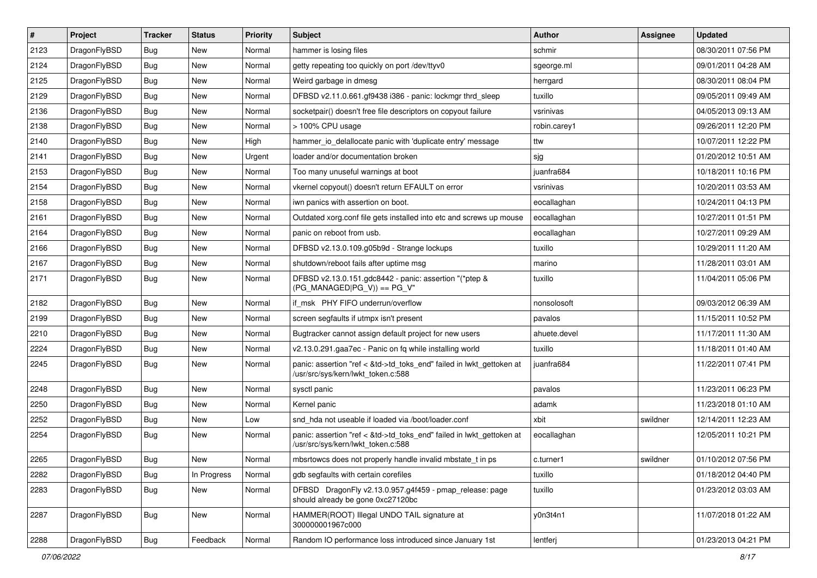| $\vert$ # | Project      | <b>Tracker</b> | <b>Status</b> | <b>Priority</b> | Subject                                                                                                    | <b>Author</b> | <b>Assignee</b> | <b>Updated</b>      |
|-----------|--------------|----------------|---------------|-----------------|------------------------------------------------------------------------------------------------------------|---------------|-----------------|---------------------|
| 2123      | DragonFlyBSD | Bug            | <b>New</b>    | Normal          | hammer is losing files                                                                                     | schmir        |                 | 08/30/2011 07:56 PM |
| 2124      | DragonFlyBSD | Bug            | <b>New</b>    | Normal          | getty repeating too quickly on port /dev/ttyv0                                                             | sgeorge.ml    |                 | 09/01/2011 04:28 AM |
| 2125      | DragonFlyBSD | Bug            | <b>New</b>    | Normal          | Weird garbage in dmesg                                                                                     | herrgard      |                 | 08/30/2011 08:04 PM |
| 2129      | DragonFlyBSD | Bug            | New           | Normal          | DFBSD v2.11.0.661.gf9438 i386 - panic: lockmgr thrd_sleep                                                  | tuxillo       |                 | 09/05/2011 09:49 AM |
| 2136      | DragonFlyBSD | Bug            | <b>New</b>    | Normal          | socketpair() doesn't free file descriptors on copyout failure                                              | vsrinivas     |                 | 04/05/2013 09:13 AM |
| 2138      | DragonFlyBSD | Bug            | New           | Normal          | > 100% CPU usage                                                                                           | robin.carey1  |                 | 09/26/2011 12:20 PM |
| 2140      | DragonFlyBSD | Bug            | <b>New</b>    | High            | hammer_io_delallocate panic with 'duplicate entry' message                                                 | ttw           |                 | 10/07/2011 12:22 PM |
| 2141      | DragonFlyBSD | Bug            | New           | Urgent          | loader and/or documentation broken                                                                         | sjg           |                 | 01/20/2012 10:51 AM |
| 2153      | DragonFlyBSD | Bug            | <b>New</b>    | Normal          | Too many unuseful warnings at boot                                                                         | juanfra684    |                 | 10/18/2011 10:16 PM |
| 2154      | DragonFlyBSD | Bug            | <b>New</b>    | Normal          | vkernel copyout() doesn't return EFAULT on error                                                           | vsrinivas     |                 | 10/20/2011 03:53 AM |
| 2158      | DragonFlyBSD | Bug            | <b>New</b>    | Normal          | iwn panics with assertion on boot.                                                                         | eocallaghan   |                 | 10/24/2011 04:13 PM |
| 2161      | DragonFlyBSD | Bug            | <b>New</b>    | Normal          | Outdated xorg.conf file gets installed into etc and screws up mouse                                        | eocallaghan   |                 | 10/27/2011 01:51 PM |
| 2164      | DragonFlyBSD | Bug            | <b>New</b>    | Normal          | panic on reboot from usb.                                                                                  | eocallaghan   |                 | 10/27/2011 09:29 AM |
| 2166      | DragonFlyBSD | Bug            | <b>New</b>    | Normal          | DFBSD v2.13.0.109.g05b9d - Strange lockups                                                                 | tuxillo       |                 | 10/29/2011 11:20 AM |
| 2167      | DragonFlyBSD | Bug            | <b>New</b>    | Normal          | shutdown/reboot fails after uptime msq                                                                     | marino        |                 | 11/28/2011 03:01 AM |
| 2171      | DragonFlyBSD | Bug            | <b>New</b>    | Normal          | DFBSD v2.13.0.151.gdc8442 - panic: assertion "(*ptep &<br>$(PG_MANAGED PG_V)$ == PG_V"                     | tuxillo       |                 | 11/04/2011 05:06 PM |
| 2182      | DragonFlyBSD | Bug            | <b>New</b>    | Normal          | if msk PHY FIFO underrun/overflow                                                                          | nonsolosoft   |                 | 09/03/2012 06:39 AM |
| 2199      | DragonFlyBSD | Bug            | New           | Normal          | screen segfaults if utmpx isn't present                                                                    | pavalos       |                 | 11/15/2011 10:52 PM |
| 2210      | DragonFlyBSD | Bug            | <b>New</b>    | Normal          | Bugtracker cannot assign default project for new users                                                     | ahuete.devel  |                 | 11/17/2011 11:30 AM |
| 2224      | DragonFlyBSD | Bug            | <b>New</b>    | Normal          | v2.13.0.291.gaa7ec - Panic on fq while installing world                                                    | tuxillo       |                 | 11/18/2011 01:40 AM |
| 2245      | DragonFlyBSD | Bug            | <b>New</b>    | Normal          | panic: assertion "ref < &td->td_toks_end" failed in lwkt_gettoken at<br>/usr/src/sys/kern/lwkt_token.c:588 | juanfra684    |                 | 11/22/2011 07:41 PM |
| 2248      | DragonFlyBSD | Bug            | <b>New</b>    | Normal          | sysctl panic                                                                                               | pavalos       |                 | 11/23/2011 06:23 PM |
| 2250      | DragonFlyBSD | Bug            | New           | Normal          | Kernel panic                                                                                               | adamk         |                 | 11/23/2018 01:10 AM |
| 2252      | DragonFlyBSD | Bug            | <b>New</b>    | Low             | snd hda not useable if loaded via /boot/loader.conf                                                        | xbit          | swildner        | 12/14/2011 12:23 AM |
| 2254      | DragonFlyBSD | Bug            | New           | Normal          | panic: assertion "ref < &td->td_toks_end" failed in lwkt_gettoken at<br>/usr/src/sys/kern/lwkt_token.c:588 | eocallaghan   |                 | 12/05/2011 10:21 PM |
| 2265      | DragonFlyBSD | Bug            | <b>New</b>    | Normal          | mbsrtowcs does not properly handle invalid mbstate_t in ps                                                 | c.turner1     | swildner        | 01/10/2012 07:56 PM |
| 2282      | DragonFlyBSD | Bug            | In Progress   | Normal          | gdb segfaults with certain corefiles                                                                       | tuxillo       |                 | 01/18/2012 04:40 PM |
| 2283      | DragonFlyBSD | <b>Bug</b>     | New           | Normal          | DFBSD DragonFly v2.13.0.957.g4f459 - pmap_release: page<br>should already be gone 0xc27120bc               | tuxillo       |                 | 01/23/2012 03:03 AM |
| 2287      | DragonFlyBSD | Bug            | New           | Normal          | HAMMER(ROOT) Illegal UNDO TAIL signature at<br>300000001967c000                                            | y0n3t4n1      |                 | 11/07/2018 01:22 AM |
| 2288      | DragonFlyBSD | <b>Bug</b>     | Feedback      | Normal          | Random IO performance loss introduced since January 1st                                                    | lentferj      |                 | 01/23/2013 04:21 PM |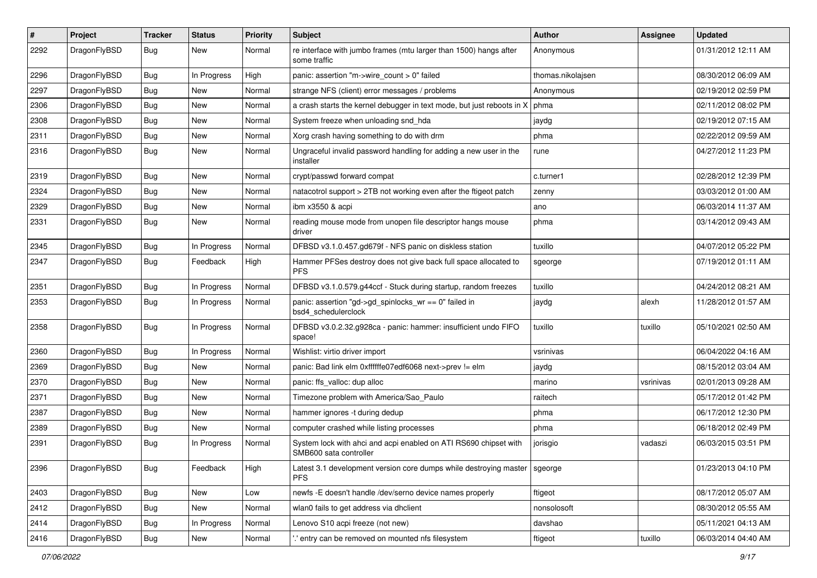| ∦    | Project      | <b>Tracker</b> | <b>Status</b> | <b>Priority</b> | <b>Subject</b>                                                                             | Author            | Assignee  | <b>Updated</b>      |
|------|--------------|----------------|---------------|-----------------|--------------------------------------------------------------------------------------------|-------------------|-----------|---------------------|
| 2292 | DragonFlyBSD | <b>Bug</b>     | New           | Normal          | re interface with jumbo frames (mtu larger than 1500) hangs after<br>some traffic          | Anonymous         |           | 01/31/2012 12:11 AM |
| 2296 | DragonFlyBSD | Bug            | In Progress   | High            | panic: assertion "m->wire count > 0" failed                                                | thomas.nikolajsen |           | 08/30/2012 06:09 AM |
| 2297 | DragonFlyBSD | Bug            | New           | Normal          | strange NFS (client) error messages / problems                                             | Anonymous         |           | 02/19/2012 02:59 PM |
| 2306 | DragonFlyBSD | Bug            | <b>New</b>    | Normal          | a crash starts the kernel debugger in text mode, but just reboots in X                     | phma              |           | 02/11/2012 08:02 PM |
| 2308 | DragonFlyBSD | <b>Bug</b>     | New           | Normal          | System freeze when unloading snd hda                                                       | jaydg             |           | 02/19/2012 07:15 AM |
| 2311 | DragonFlyBSD | <b>Bug</b>     | <b>New</b>    | Normal          | Xorg crash having something to do with drm                                                 | phma              |           | 02/22/2012 09:59 AM |
| 2316 | DragonFlyBSD | Bug            | New           | Normal          | Ungraceful invalid password handling for adding a new user in the<br>installer             | rune              |           | 04/27/2012 11:23 PM |
| 2319 | DragonFlyBSD | <b>Bug</b>     | <b>New</b>    | Normal          | crypt/passwd forward compat                                                                | c.turner1         |           | 02/28/2012 12:39 PM |
| 2324 | DragonFlyBSD | <b>Bug</b>     | New           | Normal          | natacotrol support > 2TB not working even after the ftigeot patch                          | zenny             |           | 03/03/2012 01:00 AM |
| 2329 | DragonFlyBSD | Bug            | New           | Normal          | ibm x3550 & acpi                                                                           | ano               |           | 06/03/2014 11:37 AM |
| 2331 | DragonFlyBSD | Bug            | New           | Normal          | reading mouse mode from unopen file descriptor hangs mouse<br>driver                       | phma              |           | 03/14/2012 09:43 AM |
| 2345 | DragonFlyBSD | <b>Bug</b>     | In Progress   | Normal          | DFBSD v3.1.0.457.gd679f - NFS panic on diskless station                                    | tuxillo           |           | 04/07/2012 05:22 PM |
| 2347 | DragonFlyBSD | Bug            | Feedback      | High            | Hammer PFSes destroy does not give back full space allocated to<br><b>PFS</b>              | sgeorge           |           | 07/19/2012 01:11 AM |
| 2351 | DragonFlyBSD | <b>Bug</b>     | In Progress   | Normal          | DFBSD v3.1.0.579.g44ccf - Stuck during startup, random freezes                             | tuxillo           |           | 04/24/2012 08:21 AM |
| 2353 | DragonFlyBSD | <b>Bug</b>     | In Progress   | Normal          | panic: assertion "gd->gd_spinlocks_wr == 0" failed in<br>bsd4 schedulerclock               | jaydg             | alexh     | 11/28/2012 01:57 AM |
| 2358 | DragonFlyBSD | <b>Bug</b>     | In Progress   | Normal          | DFBSD v3.0.2.32.g928ca - panic: hammer: insufficient undo FIFO<br>space!                   | tuxillo           | tuxillo   | 05/10/2021 02:50 AM |
| 2360 | DragonFlyBSD | Bug            | In Progress   | Normal          | Wishlist: virtio driver import                                                             | vsrinivas         |           | 06/04/2022 04:16 AM |
| 2369 | DragonFlyBSD | Bug            | New           | Normal          | panic: Bad link elm 0xffffffe07edf6068 next->prev != elm                                   | jaydg             |           | 08/15/2012 03:04 AM |
| 2370 | DragonFlyBSD | <b>Bug</b>     | New           | Normal          | panic: ffs valloc: dup alloc                                                               | marino            | vsrinivas | 02/01/2013 09:28 AM |
| 2371 | DragonFlyBSD | <b>Bug</b>     | <b>New</b>    | Normal          | Timezone problem with America/Sao_Paulo                                                    | raitech           |           | 05/17/2012 01:42 PM |
| 2387 | DragonFlyBSD | <b>Bug</b>     | New           | Normal          | hammer ignores -t during dedup                                                             | phma              |           | 06/17/2012 12:30 PM |
| 2389 | DragonFlyBSD | Bug            | New           | Normal          | computer crashed while listing processes                                                   | phma              |           | 06/18/2012 02:49 PM |
| 2391 | DragonFlyBSD | Bug            | In Progress   | Normal          | System lock with ahci and acpi enabled on ATI RS690 chipset with<br>SMB600 sata controller | jorisgio          | vadaszi   | 06/03/2015 03:51 PM |
| 2396 | DragonFlyBSD | Bug            | Feedback      | High            | Latest 3.1 development version core dumps while destroying master   sgeorge<br><b>PFS</b>  |                   |           | 01/23/2013 04:10 PM |
| 2403 | DragonFlyBSD | <b>Bug</b>     | New           | Low             | newfs -E doesn't handle /dev/serno device names properly                                   | ftigeot           |           | 08/17/2012 05:07 AM |
| 2412 | DragonFlyBSD | Bug            | New           | Normal          | wlan0 fails to get address via dhclient                                                    | nonsolosoft       |           | 08/30/2012 05:55 AM |
| 2414 | DragonFlyBSD | <b>Bug</b>     | In Progress   | Normal          | Lenovo S10 acpi freeze (not new)                                                           | davshao           |           | 05/11/2021 04:13 AM |
| 2416 | DragonFlyBSD | Bug            | New           | Normal          | ' entry can be removed on mounted nfs filesystem                                           | ftigeot           | tuxillo   | 06/03/2014 04:40 AM |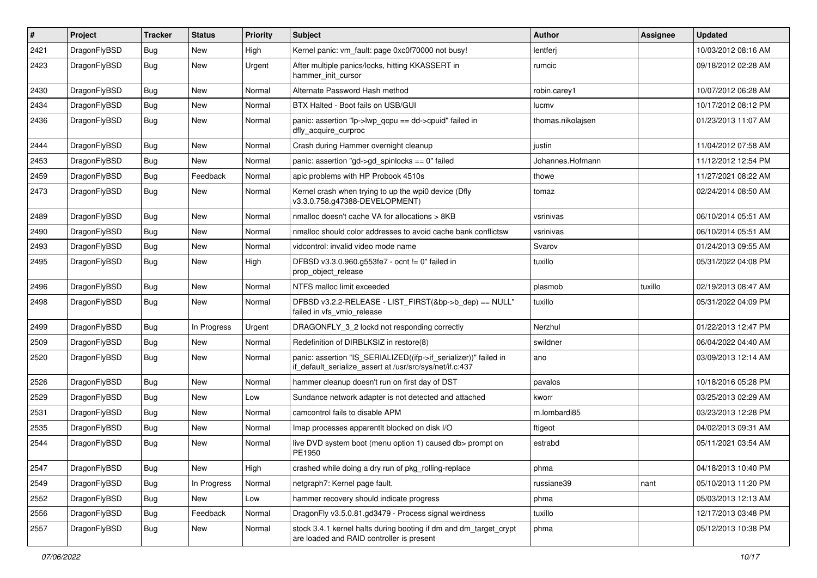| #    | Project      | <b>Tracker</b> | <b>Status</b> | <b>Priority</b> | Subject                                                                                                                      | <b>Author</b>     | Assignee | Updated             |
|------|--------------|----------------|---------------|-----------------|------------------------------------------------------------------------------------------------------------------------------|-------------------|----------|---------------------|
| 2421 | DragonFlyBSD | <b>Bug</b>     | <b>New</b>    | High            | Kernel panic: vm_fault: page 0xc0f70000 not busy!                                                                            | lentferj          |          | 10/03/2012 08:16 AM |
| 2423 | DragonFlyBSD | <b>Bug</b>     | New           | Urgent          | After multiple panics/locks, hitting KKASSERT in<br>hammer init cursor                                                       | rumcic            |          | 09/18/2012 02:28 AM |
| 2430 | DragonFlyBSD | Bug            | <b>New</b>    | Normal          | Alternate Password Hash method                                                                                               | robin.carey1      |          | 10/07/2012 06:28 AM |
| 2434 | DragonFlyBSD | Bug            | <b>New</b>    | Normal          | BTX Halted - Boot fails on USB/GUI                                                                                           | lucmv             |          | 10/17/2012 08:12 PM |
| 2436 | DragonFlyBSD | Bug            | <b>New</b>    | Normal          | panic: assertion "lp->lwp_qcpu == dd->cpuid" failed in<br>dfly_acquire_curproc                                               | thomas.nikolajsen |          | 01/23/2013 11:07 AM |
| 2444 | DragonFlyBSD | Bug            | <b>New</b>    | Normal          | Crash during Hammer overnight cleanup                                                                                        | justin            |          | 11/04/2012 07:58 AM |
| 2453 | DragonFlyBSD | <b>Bug</b>     | New           | Normal          | panic: assertion "gd->gd_spinlocks == $0$ " failed                                                                           | Johannes.Hofmann  |          | 11/12/2012 12:54 PM |
| 2459 | DragonFlyBSD | <b>Bug</b>     | Feedback      | Normal          | apic problems with HP Probook 4510s                                                                                          | thowe             |          | 11/27/2021 08:22 AM |
| 2473 | DragonFlyBSD | <b>Bug</b>     | <b>New</b>    | Normal          | Kernel crash when trying to up the wpi0 device (Dfly<br>v3.3.0.758.g47388-DEVELOPMENT)                                       | tomaz             |          | 02/24/2014 08:50 AM |
| 2489 | DragonFlyBSD | Bug            | <b>New</b>    | Normal          | nmalloc doesn't cache VA for allocations > 8KB                                                                               | vsrinivas         |          | 06/10/2014 05:51 AM |
| 2490 | DragonFlyBSD | <b>Bug</b>     | New           | Normal          | nmalloc should color addresses to avoid cache bank conflictsw                                                                | vsrinivas         |          | 06/10/2014 05:51 AM |
| 2493 | DragonFlyBSD | Bug            | <b>New</b>    | Normal          | vidcontrol: invalid video mode name                                                                                          | Svarov            |          | 01/24/2013 09:55 AM |
| 2495 | DragonFlyBSD | Bug            | <b>New</b>    | High            | DFBSD v3.3.0.960.g553fe7 - ocnt != 0" failed in<br>prop_object_release                                                       | tuxillo           |          | 05/31/2022 04:08 PM |
| 2496 | DragonFlyBSD | Bug            | <b>New</b>    | Normal          | NTFS malloc limit exceeded                                                                                                   | plasmob           | tuxillo  | 02/19/2013 08:47 AM |
| 2498 | DragonFlyBSD | Bug            | <b>New</b>    | Normal          | DFBSD v3.2.2-RELEASE - LIST_FIRST(&bp->b_dep) == NULL"<br>failed in vfs_vmio_release                                         | tuxillo           |          | 05/31/2022 04:09 PM |
| 2499 | DragonFlyBSD | Bug            | In Progress   | Urgent          | DRAGONFLY_3_2 lockd not responding correctly                                                                                 | Nerzhul           |          | 01/22/2013 12:47 PM |
| 2509 | DragonFlyBSD | Bug            | <b>New</b>    | Normal          | Redefinition of DIRBLKSIZ in restore(8)                                                                                      | swildner          |          | 06/04/2022 04:40 AM |
| 2520 | DragonFlyBSD | Bug            | New           | Normal          | panic: assertion "IS_SERIALIZED((ifp->if_serializer))" failed in<br>if_default_serialize_assert at /usr/src/sys/net/if.c:437 | ano               |          | 03/09/2013 12:14 AM |
| 2526 | DragonFlyBSD | Bug            | <b>New</b>    | Normal          | hammer cleanup doesn't run on first day of DST                                                                               | pavalos           |          | 10/18/2016 05:28 PM |
| 2529 | DragonFlyBSD | Bug            | <b>New</b>    | Low             | Sundance network adapter is not detected and attached                                                                        | kworr             |          | 03/25/2013 02:29 AM |
| 2531 | DragonFlyBSD | Bug            | New           | Normal          | camcontrol fails to disable APM                                                                                              | m.lombardi85      |          | 03/23/2013 12:28 PM |
| 2535 | DragonFlyBSD | Bug            | <b>New</b>    | Normal          | Imap processes apparentlt blocked on disk I/O                                                                                | ftigeot           |          | 04/02/2013 09:31 AM |
| 2544 | DragonFlyBSD | Bug            | New           | Normal          | live DVD system boot (menu option 1) caused db> prompt on<br>PE1950                                                          | estrabd           |          | 05/11/2021 03:54 AM |
| 2547 | DragonFlyBSD | <b>Bug</b>     | New           | High            | crashed while doing a dry run of pkg rolling-replace                                                                         | phma              |          | 04/18/2013 10:40 PM |
| 2549 | DragonFlyBSD | <b>Bug</b>     | In Progress   | Normal          | netgraph7: Kernel page fault.                                                                                                | russiane39        | nant     | 05/10/2013 11:20 PM |
| 2552 | DragonFlyBSD | <b>Bug</b>     | New           | Low             | hammer recovery should indicate progress                                                                                     | phma              |          | 05/03/2013 12:13 AM |
| 2556 | DragonFlyBSD | <b>Bug</b>     | Feedback      | Normal          | DragonFly v3.5.0.81.gd3479 - Process signal weirdness                                                                        | tuxillo           |          | 12/17/2013 03:48 PM |
| 2557 | DragonFlyBSD | Bug            | New           | Normal          | stock 3.4.1 kernel halts during booting if dm and dm target crypt<br>are loaded and RAID controller is present               | phma              |          | 05/12/2013 10:38 PM |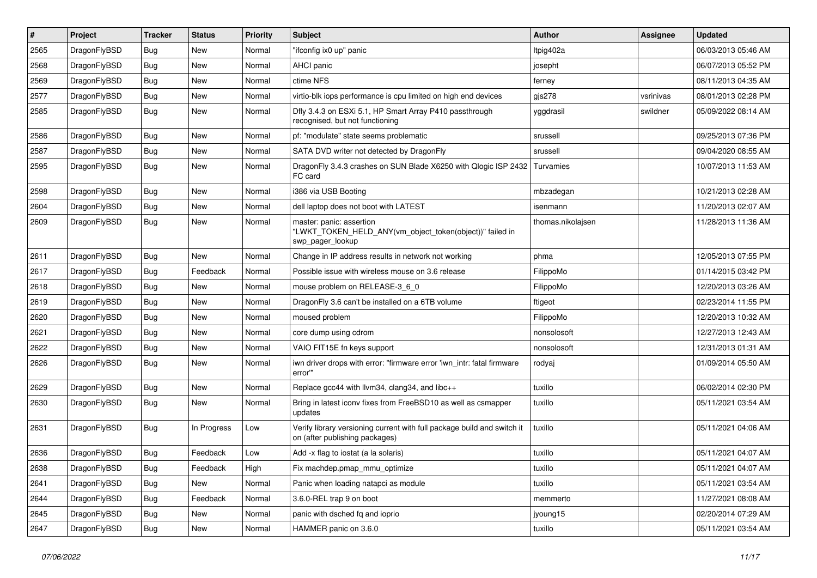| $\vert$ # | Project      | <b>Tracker</b> | <b>Status</b> | <b>Priority</b> | <b>Subject</b>                                                                                            | <b>Author</b>     | Assignee  | <b>Updated</b>      |
|-----------|--------------|----------------|---------------|-----------------|-----------------------------------------------------------------------------------------------------------|-------------------|-----------|---------------------|
| 2565      | DragonFlyBSD | Bug            | <b>New</b>    | Normal          | "ifconfig ix0 up" panic                                                                                   | Itpig402a         |           | 06/03/2013 05:46 AM |
| 2568      | DragonFlyBSD | <b>Bug</b>     | <b>New</b>    | Normal          | AHCI panic                                                                                                | josepht           |           | 06/07/2013 05:52 PM |
| 2569      | DragonFlyBSD | <b>Bug</b>     | <b>New</b>    | Normal          | ctime NFS                                                                                                 | ferney            |           | 08/11/2013 04:35 AM |
| 2577      | DragonFlyBSD | Bug            | <b>New</b>    | Normal          | virtio-blk iops performance is cpu limited on high end devices                                            | gjs278            | vsrinivas | 08/01/2013 02:28 PM |
| 2585      | DragonFlyBSD | Bug            | <b>New</b>    | Normal          | Dfly 3.4.3 on ESXi 5.1, HP Smart Array P410 passthrough<br>recognised, but not functioning                | yggdrasil         | swildner  | 05/09/2022 08:14 AM |
| 2586      | DragonFlyBSD | Bug            | <b>New</b>    | Normal          | pf: "modulate" state seems problematic                                                                    | srussell          |           | 09/25/2013 07:36 PM |
| 2587      | DragonFlyBSD | <b>Bug</b>     | <b>New</b>    | Normal          | SATA DVD writer not detected by DragonFly                                                                 | srussell          |           | 09/04/2020 08:55 AM |
| 2595      | DragonFlyBSD | <b>Bug</b>     | <b>New</b>    | Normal          | DragonFly 3.4.3 crashes on SUN Blade X6250 with Qlogic ISP 2432<br>FC card                                | Turvamies         |           | 10/07/2013 11:53 AM |
| 2598      | DragonFlyBSD | <b>Bug</b>     | <b>New</b>    | Normal          | i386 via USB Booting                                                                                      | mbzadegan         |           | 10/21/2013 02:28 AM |
| 2604      | DragonFlyBSD | Bug            | <b>New</b>    | Normal          | dell laptop does not boot with LATEST                                                                     | isenmann          |           | 11/20/2013 02:07 AM |
| 2609      | DragonFlyBSD | Bug            | <b>New</b>    | Normal          | master: panic: assertion<br>"LWKT_TOKEN_HELD_ANY(vm_object_token(object))" failed in<br>swp_pager_lookup  | thomas.nikolajsen |           | 11/28/2013 11:36 AM |
| 2611      | DragonFlyBSD | <b>Bug</b>     | New           | Normal          | Change in IP address results in network not working                                                       | phma              |           | 12/05/2013 07:55 PM |
| 2617      | DragonFlyBSD | <b>Bug</b>     | Feedback      | Normal          | Possible issue with wireless mouse on 3.6 release                                                         | FilippoMo         |           | 01/14/2015 03:42 PM |
| 2618      | DragonFlyBSD | <b>Bug</b>     | <b>New</b>    | Normal          | mouse problem on RELEASE-3_6_0                                                                            | FilippoMo         |           | 12/20/2013 03:26 AM |
| 2619      | DragonFlyBSD | <b>Bug</b>     | <b>New</b>    | Normal          | DragonFly 3.6 can't be installed on a 6TB volume                                                          | ftigeot           |           | 02/23/2014 11:55 PM |
| 2620      | DragonFlyBSD | Bug            | <b>New</b>    | Normal          | moused problem                                                                                            | FilippoMo         |           | 12/20/2013 10:32 AM |
| 2621      | DragonFlyBSD | <b>Bug</b>     | <b>New</b>    | Normal          | core dump using cdrom                                                                                     | nonsolosoft       |           | 12/27/2013 12:43 AM |
| 2622      | DragonFlyBSD | <b>Bug</b>     | <b>New</b>    | Normal          | VAIO FIT15E fn keys support                                                                               | nonsolosoft       |           | 12/31/2013 01:31 AM |
| 2626      | DragonFlyBSD | Bug            | <b>New</b>    | Normal          | iwn driver drops with error: "firmware error 'iwn_intr: fatal firmware<br>error"                          | rodyaj            |           | 01/09/2014 05:50 AM |
| 2629      | DragonFlyBSD | Bug            | <b>New</b>    | Normal          | Replace gcc44 with llvm34, clang34, and libc++                                                            | tuxillo           |           | 06/02/2014 02:30 PM |
| 2630      | DragonFlyBSD | Bug            | <b>New</b>    | Normal          | Bring in latest iconv fixes from FreeBSD10 as well as csmapper<br>updates                                 | tuxillo           |           | 05/11/2021 03:54 AM |
| 2631      | DragonFlyBSD | Bug            | In Progress   | Low             | Verify library versioning current with full package build and switch it<br>on (after publishing packages) | tuxillo           |           | 05/11/2021 04:06 AM |
| 2636      | DragonFlyBSD | <b>Bug</b>     | Feedback      | Low             | Add -x flag to iostat (a la solaris)                                                                      | tuxillo           |           | 05/11/2021 04:07 AM |
| 2638      | DragonFlyBSD | <b>Bug</b>     | Feedback      | High            | Fix machdep.pmap_mmu_optimize                                                                             | tuxillo           |           | 05/11/2021 04:07 AM |
| 2641      | DragonFlyBSD | <b>Bug</b>     | New           | Normal          | Panic when loading natapci as module                                                                      | tuxillo           |           | 05/11/2021 03:54 AM |
| 2644      | DragonFlyBSD | <b>Bug</b>     | Feedback      | Normal          | 3.6.0-REL trap 9 on boot                                                                                  | memmerto          |           | 11/27/2021 08:08 AM |
| 2645      | DragonFlyBSD | <b>Bug</b>     | New           | Normal          | panic with dsched fq and ioprio                                                                           | jyoung15          |           | 02/20/2014 07:29 AM |
| 2647      | DragonFlyBSD | <b>Bug</b>     | New           | Normal          | HAMMER panic on 3.6.0                                                                                     | tuxillo           |           | 05/11/2021 03:54 AM |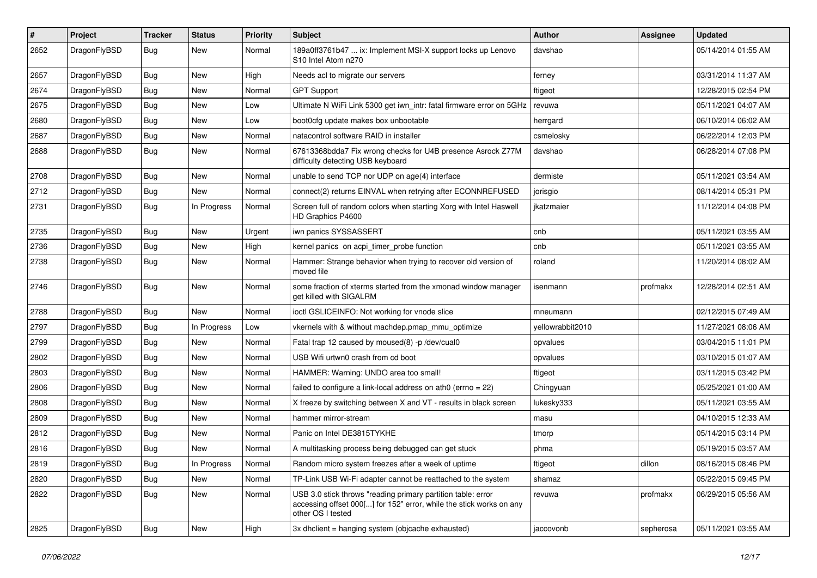| $\#$ | Project      | <b>Tracker</b> | <b>Status</b> | <b>Priority</b> | Subject                                                                                                                                                  | <b>Author</b>    | <b>Assignee</b> | <b>Updated</b>      |
|------|--------------|----------------|---------------|-----------------|----------------------------------------------------------------------------------------------------------------------------------------------------------|------------------|-----------------|---------------------|
| 2652 | DragonFlyBSD | <b>Bug</b>     | <b>New</b>    | Normal          | 189a0ff3761b47  ix: Implement MSI-X support locks up Lenovo<br>S10 Intel Atom n270                                                                       | davshao          |                 | 05/14/2014 01:55 AM |
| 2657 | DragonFlyBSD | <b>Bug</b>     | New           | High            | Needs acl to migrate our servers                                                                                                                         | ferney           |                 | 03/31/2014 11:37 AM |
| 2674 | DragonFlyBSD | <b>Bug</b>     | <b>New</b>    | Normal          | <b>GPT Support</b>                                                                                                                                       | ftigeot          |                 | 12/28/2015 02:54 PM |
| 2675 | DragonFlyBSD | <b>Bug</b>     | New           | Low             | Ultimate N WiFi Link 5300 get iwn_intr: fatal firmware error on 5GHz                                                                                     | revuwa           |                 | 05/11/2021 04:07 AM |
| 2680 | DragonFlyBSD | <b>Bug</b>     | New           | Low             | boot0cfg update makes box unbootable                                                                                                                     | herrgard         |                 | 06/10/2014 06:02 AM |
| 2687 | DragonFlyBSD | <b>Bug</b>     | New           | Normal          | natacontrol software RAID in installer                                                                                                                   | csmelosky        |                 | 06/22/2014 12:03 PM |
| 2688 | DragonFlyBSD | <b>Bug</b>     | <b>New</b>    | Normal          | 67613368bdda7 Fix wrong checks for U4B presence Asrock Z77M<br>difficulty detecting USB keyboard                                                         | davshao          |                 | 06/28/2014 07:08 PM |
| 2708 | DragonFlyBSD | <b>Bug</b>     | <b>New</b>    | Normal          | unable to send TCP nor UDP on age(4) interface                                                                                                           | dermiste         |                 | 05/11/2021 03:54 AM |
| 2712 | DragonFlyBSD | <b>Bug</b>     | New           | Normal          | connect(2) returns EINVAL when retrying after ECONNREFUSED                                                                                               | jorisgio         |                 | 08/14/2014 05:31 PM |
| 2731 | DragonFlyBSD | <b>Bug</b>     | In Progress   | Normal          | Screen full of random colors when starting Xorg with Intel Haswell<br>HD Graphics P4600                                                                  | jkatzmaier       |                 | 11/12/2014 04:08 PM |
| 2735 | DragonFlyBSD | <b>Bug</b>     | <b>New</b>    | Urgent          | iwn panics SYSSASSERT                                                                                                                                    | cnb              |                 | 05/11/2021 03:55 AM |
| 2736 | DragonFlyBSD | <b>Bug</b>     | New           | High            | kernel panics on acpi_timer_probe function                                                                                                               | cnb              |                 | 05/11/2021 03:55 AM |
| 2738 | DragonFlyBSD | <b>Bug</b>     | <b>New</b>    | Normal          | Hammer: Strange behavior when trying to recover old version of<br>moved file                                                                             | roland           |                 | 11/20/2014 08:02 AM |
| 2746 | DragonFlyBSD | <b>Bug</b>     | New           | Normal          | some fraction of xterms started from the xmonad window manager<br>get killed with SIGALRM                                                                | isenmann         | profmakx        | 12/28/2014 02:51 AM |
| 2788 | DragonFlyBSD | Bug            | New           | Normal          | ioctl GSLICEINFO: Not working for vnode slice                                                                                                            | mneumann         |                 | 02/12/2015 07:49 AM |
| 2797 | DragonFlyBSD | Bug            | In Progress   | Low             | vkernels with & without machdep.pmap_mmu_optimize                                                                                                        | yellowrabbit2010 |                 | 11/27/2021 08:06 AM |
| 2799 | DragonFlyBSD | <b>Bug</b>     | New           | Normal          | Fatal trap 12 caused by moused(8) -p /dev/cual0                                                                                                          | opvalues         |                 | 03/04/2015 11:01 PM |
| 2802 | DragonFlyBSD | <b>Bug</b>     | New           | Normal          | USB Wifi urtwn0 crash from cd boot                                                                                                                       | opvalues         |                 | 03/10/2015 01:07 AM |
| 2803 | DragonFlyBSD | <b>Bug</b>     | New           | Normal          | HAMMER: Warning: UNDO area too small!                                                                                                                    | ftigeot          |                 | 03/11/2015 03:42 PM |
| 2806 | DragonFlyBSD | <b>Bug</b>     | New           | Normal          | failed to configure a link-local address on ath0 (errno = 22)                                                                                            | Chingyuan        |                 | 05/25/2021 01:00 AM |
| 2808 | DragonFlyBSD | Bug            | <b>New</b>    | Normal          | X freeze by switching between X and VT - results in black screen                                                                                         | lukesky333       |                 | 05/11/2021 03:55 AM |
| 2809 | DragonFlyBSD | <b>Bug</b>     | New           | Normal          | hammer mirror-stream                                                                                                                                     | masu             |                 | 04/10/2015 12:33 AM |
| 2812 | DragonFlyBSD | <b>Bug</b>     | <b>New</b>    | Normal          | Panic on Intel DE3815TYKHE                                                                                                                               | tmorp            |                 | 05/14/2015 03:14 PM |
| 2816 | DragonFlyBSD | <b>Bug</b>     | <b>New</b>    | Normal          | A multitasking process being debugged can get stuck                                                                                                      | phma             |                 | 05/19/2015 03:57 AM |
| 2819 | DragonFlyBSD | <b>Bug</b>     | In Progress   | Normal          | Random micro system freezes after a week of uptime                                                                                                       | ftigeot          | dillon          | 08/16/2015 08:46 PM |
| 2820 | DragonFlyBSD | <b>Bug</b>     | <b>New</b>    | Normal          | TP-Link USB Wi-Fi adapter cannot be reattached to the system                                                                                             | shamaz           |                 | 05/22/2015 09:45 PM |
| 2822 | DragonFlyBSD | <b>Bug</b>     | New           | Normal          | USB 3.0 stick throws "reading primary partition table: error<br>accessing offset 000[] for 152" error, while the stick works on any<br>other OS I tested | revuwa           | profmakx        | 06/29/2015 05:56 AM |
| 2825 | DragonFlyBSD | <b>Bug</b>     | New           | High            | 3x dhclient = hanging system (objcache exhausted)                                                                                                        | jaccovonb        | sepherosa       | 05/11/2021 03:55 AM |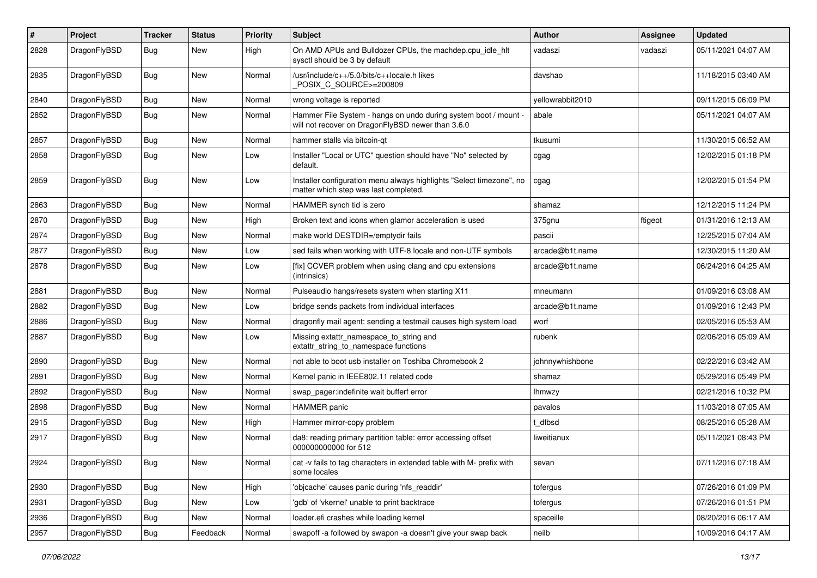| #    | Project      | <b>Tracker</b> | <b>Status</b> | <b>Priority</b> | Subject                                                                                                              | Author           | <b>Assignee</b> | <b>Updated</b>      |
|------|--------------|----------------|---------------|-----------------|----------------------------------------------------------------------------------------------------------------------|------------------|-----------------|---------------------|
| 2828 | DragonFlyBSD | Bug            | New           | High            | On AMD APUs and Bulldozer CPUs, the machdep.cpu_idle_hlt<br>sysctl should be 3 by default                            | vadaszi          | vadaszi         | 05/11/2021 04:07 AM |
| 2835 | DragonFlyBSD | Bug            | <b>New</b>    | Normal          | /usr/include/c++/5.0/bits/c++locale.h likes<br>POSIX C_SOURCE>=200809                                                | davshao          |                 | 11/18/2015 03:40 AM |
| 2840 | DragonFlyBSD | <b>Bug</b>     | <b>New</b>    | Normal          | wrong voltage is reported                                                                                            | yellowrabbit2010 |                 | 09/11/2015 06:09 PM |
| 2852 | DragonFlyBSD | Bug            | New           | Normal          | Hammer File System - hangs on undo during system boot / mount -<br>will not recover on DragonFlyBSD newer than 3.6.0 | abale            |                 | 05/11/2021 04:07 AM |
| 2857 | DragonFlyBSD | <b>Bug</b>     | <b>New</b>    | Normal          | hammer stalls via bitcoin-qt                                                                                         | tkusumi          |                 | 11/30/2015 06:52 AM |
| 2858 | DragonFlyBSD | Bug            | New           | Low             | Installer "Local or UTC" question should have "No" selected by<br>default.                                           | cgag             |                 | 12/02/2015 01:18 PM |
| 2859 | DragonFlyBSD | Bug            | <b>New</b>    | Low             | Installer configuration menu always highlights "Select timezone", no<br>matter which step was last completed.        | cgag             |                 | 12/02/2015 01:54 PM |
| 2863 | DragonFlyBSD | <b>Bug</b>     | <b>New</b>    | Normal          | HAMMER synch tid is zero                                                                                             | shamaz           |                 | 12/12/2015 11:24 PM |
| 2870 | DragonFlyBSD | <b>Bug</b>     | <b>New</b>    | High            | Broken text and icons when glamor acceleration is used                                                               | 375gnu           | ftigeot         | 01/31/2016 12:13 AM |
| 2874 | DragonFlyBSD | Bug            | <b>New</b>    | Normal          | make world DESTDIR=/emptydir fails                                                                                   | pascii           |                 | 12/25/2015 07:04 AM |
| 2877 | DragonFlyBSD | <b>Bug</b>     | <b>New</b>    | Low             | sed fails when working with UTF-8 locale and non-UTF symbols                                                         | arcade@b1t.name  |                 | 12/30/2015 11:20 AM |
| 2878 | DragonFlyBSD | Bug            | New           | Low             | [fix] CCVER problem when using clang and cpu extensions<br>(intrinsics)                                              | arcade@b1t.name  |                 | 06/24/2016 04:25 AM |
| 2881 | DragonFlyBSD | <b>Bug</b>     | <b>New</b>    | Normal          | Pulseaudio hangs/resets system when starting X11                                                                     | mneumann         |                 | 01/09/2016 03:08 AM |
| 2882 | DragonFlyBSD | Bug            | <b>New</b>    | Low             | bridge sends packets from individual interfaces                                                                      | arcade@b1t.name  |                 | 01/09/2016 12:43 PM |
| 2886 | DragonFlyBSD | <b>Bug</b>     | <b>New</b>    | Normal          | dragonfly mail agent: sending a testmail causes high system load                                                     | worf             |                 | 02/05/2016 05:53 AM |
| 2887 | DragonFlyBSD | Bug            | New           | Low             | Missing extattr_namespace_to_string and<br>extattr_string_to_namespace functions                                     | rubenk           |                 | 02/06/2016 05:09 AM |
| 2890 | DragonFlyBSD | <b>Bug</b>     | <b>New</b>    | Normal          | not able to boot usb installer on Toshiba Chromebook 2                                                               | johnnywhishbone  |                 | 02/22/2016 03:42 AM |
| 2891 | DragonFlyBSD | Bug            | <b>New</b>    | Normal          | Kernel panic in IEEE802.11 related code                                                                              | shamaz           |                 | 05/29/2016 05:49 PM |
| 2892 | DragonFlyBSD | Bug            | <b>New</b>    | Normal          | swap_pager:indefinite wait bufferf error                                                                             | lhmwzy           |                 | 02/21/2016 10:32 PM |
| 2898 | DragonFlyBSD | <b>Bug</b>     | <b>New</b>    | Normal          | <b>HAMMER</b> panic                                                                                                  | pavalos          |                 | 11/03/2018 07:05 AM |
| 2915 | DragonFlyBSD | Bug            | <b>New</b>    | High            | Hammer mirror-copy problem                                                                                           | t dfbsd          |                 | 08/25/2016 05:28 AM |
| 2917 | DragonFlyBSD | Bug            | <b>New</b>    | Normal          | da8: reading primary partition table: error accessing offset<br>000000000000 for 512                                 | liweitianux      |                 | 05/11/2021 08:43 PM |
| 2924 | DragonFlyBSD | <b>Bug</b>     | New           | Normal          | cat -v fails to tag characters in extended table with M- prefix with<br>some locales                                 | sevan            |                 | 07/11/2016 07:18 AM |
| 2930 | DragonFlyBSD | <b>Bug</b>     | New           | High            | 'objcache' causes panic during 'nfs readdir'                                                                         | tofergus         |                 | 07/26/2016 01:09 PM |
| 2931 | DragonFlyBSD | Bug            | New           | Low             | 'gdb' of 'vkernel' unable to print backtrace                                                                         | tofergus         |                 | 07/26/2016 01:51 PM |
| 2936 | DragonFlyBSD | <b>Bug</b>     | New           | Normal          | loader.efi crashes while loading kernel                                                                              | spaceille        |                 | 08/20/2016 06:17 AM |
| 2957 | DragonFlyBSD | <b>Bug</b>     | Feedback      | Normal          | swapoff -a followed by swapon -a doesn't give your swap back                                                         | neilb            |                 | 10/09/2016 04:17 AM |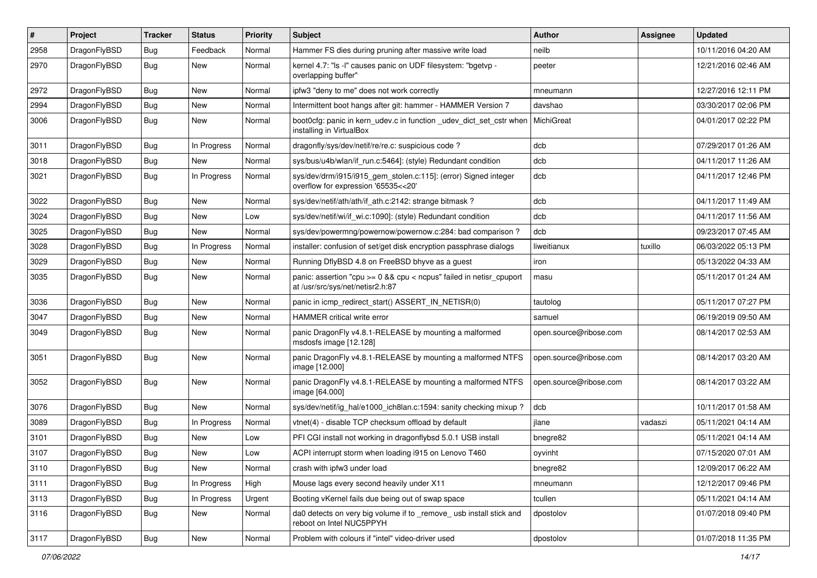| #    | Project      | <b>Tracker</b> | <b>Status</b> | <b>Priority</b> | Subject                                                                                                 | <b>Author</b>          | <b>Assignee</b> | <b>Updated</b>      |
|------|--------------|----------------|---------------|-----------------|---------------------------------------------------------------------------------------------------------|------------------------|-----------------|---------------------|
| 2958 | DragonFlyBSD | <b>Bug</b>     | Feedback      | Normal          | Hammer FS dies during pruning after massive write load                                                  | neilb                  |                 | 10/11/2016 04:20 AM |
| 2970 | DragonFlyBSD | Bug            | New           | Normal          | kernel 4.7: "Is -l" causes panic on UDF filesystem: "bgetvp -<br>overlapping buffer"                    | peeter                 |                 | 12/21/2016 02:46 AM |
| 2972 | DragonFlyBSD | Bug            | New           | Normal          | ipfw3 "deny to me" does not work correctly                                                              | mneumann               |                 | 12/27/2016 12:11 PM |
| 2994 | DragonFlyBSD | Bug            | New           | Normal          | Intermittent boot hangs after git: hammer - HAMMER Version 7                                            | davshao                |                 | 03/30/2017 02:06 PM |
| 3006 | DragonFlyBSD | <b>Bug</b>     | New           | Normal          | boot0cfg: panic in kern udev.c in function udev dict set cstr when<br>installing in VirtualBox          | MichiGreat             |                 | 04/01/2017 02:22 PM |
| 3011 | DragonFlyBSD | <b>Bug</b>     | In Progress   | Normal          | dragonfly/sys/dev/netif/re/re.c: suspicious code?                                                       | dcb                    |                 | 07/29/2017 01:26 AM |
| 3018 | DragonFlyBSD | <b>Bug</b>     | <b>New</b>    | Normal          | sys/bus/u4b/wlan/if_run.c:5464]: (style) Redundant condition                                            | dcb                    |                 | 04/11/2017 11:26 AM |
| 3021 | DragonFlyBSD | Bug            | In Progress   | Normal          | sys/dev/drm/i915/i915_gem_stolen.c:115]: (error) Signed integer<br>overflow for expression '65535<<20'  | dcb                    |                 | 04/11/2017 12:46 PM |
| 3022 | DragonFlyBSD | Bug            | <b>New</b>    | Normal          | sys/dev/netif/ath/ath/if ath.c:2142: strange bitmask?                                                   | dcb                    |                 | 04/11/2017 11:49 AM |
| 3024 | DragonFlyBSD | Bug            | <b>New</b>    | Low             | sys/dev/netif/wi/if_wi.c:1090]: (style) Redundant condition                                             | dcb                    |                 | 04/11/2017 11:56 AM |
| 3025 | DragonFlyBSD | <b>Bug</b>     | New           | Normal          | sys/dev/powermng/powernow/powernow.c:284: bad comparison?                                               | dcb                    |                 | 09/23/2017 07:45 AM |
| 3028 | DragonFlyBSD | <b>Bug</b>     | In Progress   | Normal          | installer: confusion of set/get disk encryption passphrase dialogs                                      | liweitianux            | tuxillo         | 06/03/2022 05:13 PM |
| 3029 | DragonFlyBSD | <b>Bug</b>     | New           | Normal          | Running DflyBSD 4.8 on FreeBSD bhyve as a guest                                                         | iron                   |                 | 05/13/2022 04:33 AM |
| 3035 | DragonFlyBSD | <b>Bug</b>     | New           | Normal          | panic: assertion "cpu >= 0 && cpu < ncpus" failed in netisr_cpuport<br>at /usr/src/sys/net/netisr2.h:87 | masu                   |                 | 05/11/2017 01:24 AM |
| 3036 | DragonFlyBSD | <b>Bug</b>     | New           | Normal          | panic in icmp_redirect_start() ASSERT_IN_NETISR(0)                                                      | tautolog               |                 | 05/11/2017 07:27 PM |
| 3047 | DragonFlyBSD | <b>Bug</b>     | New           | Normal          | HAMMER critical write error                                                                             | samuel                 |                 | 06/19/2019 09:50 AM |
| 3049 | DragonFlyBSD | Bug            | New           | Normal          | panic DragonFly v4.8.1-RELEASE by mounting a malformed<br>msdosfs image [12.128]                        | open.source@ribose.com |                 | 08/14/2017 02:53 AM |
| 3051 | DragonFlyBSD | Bug            | New           | Normal          | panic DragonFly v4.8.1-RELEASE by mounting a malformed NTFS<br>image [12.000]                           | open.source@ribose.com |                 | 08/14/2017 03:20 AM |
| 3052 | DragonFlyBSD | Bug            | New           | Normal          | panic DragonFly v4.8.1-RELEASE by mounting a malformed NTFS<br>image [64.000]                           | open.source@ribose.com |                 | 08/14/2017 03:22 AM |
| 3076 | DragonFlyBSD | <b>Bug</b>     | New           | Normal          | sys/dev/netif/ig_hal/e1000_ich8lan.c:1594: sanity checking mixup?                                       | dcb                    |                 | 10/11/2017 01:58 AM |
| 3089 | DragonFlyBSD | <b>Bug</b>     | In Progress   | Normal          | vtnet(4) - disable TCP checksum offload by default                                                      | ilane                  | vadaszi         | 05/11/2021 04:14 AM |
| 3101 | DragonFlyBSD | Bug            | <b>New</b>    | Low             | PFI CGI install not working in dragonflybsd 5.0.1 USB install                                           | bnegre82               |                 | 05/11/2021 04:14 AM |
| 3107 | DragonFlyBSD | Bug            | New           | Low             | ACPI interrupt storm when loading i915 on Lenovo T460                                                   | oyvinht                |                 | 07/15/2020 07:01 AM |
| 3110 | DragonFlyBSD | <b>Bug</b>     | New           | Normal          | crash with ipfw3 under load                                                                             | bnegre82               |                 | 12/09/2017 06:22 AM |
| 3111 | DragonFlyBSD | <b>Bug</b>     | In Progress   | High            | Mouse lags every second heavily under X11                                                               | mneumann               |                 | 12/12/2017 09:46 PM |
| 3113 | DragonFlyBSD | Bug            | In Progress   | Urgent          | Booting vKernel fails due being out of swap space                                                       | tcullen                |                 | 05/11/2021 04:14 AM |
| 3116 | DragonFlyBSD | Bug            | New           | Normal          | da0 detects on very big volume if to _remove_ usb install stick and<br>reboot on Intel NUC5PPYH         | dpostolov              |                 | 01/07/2018 09:40 PM |
| 3117 | DragonFlyBSD | <b>Bug</b>     | New           | Normal          | Problem with colours if "intel" video-driver used                                                       | dpostolov              |                 | 01/07/2018 11:35 PM |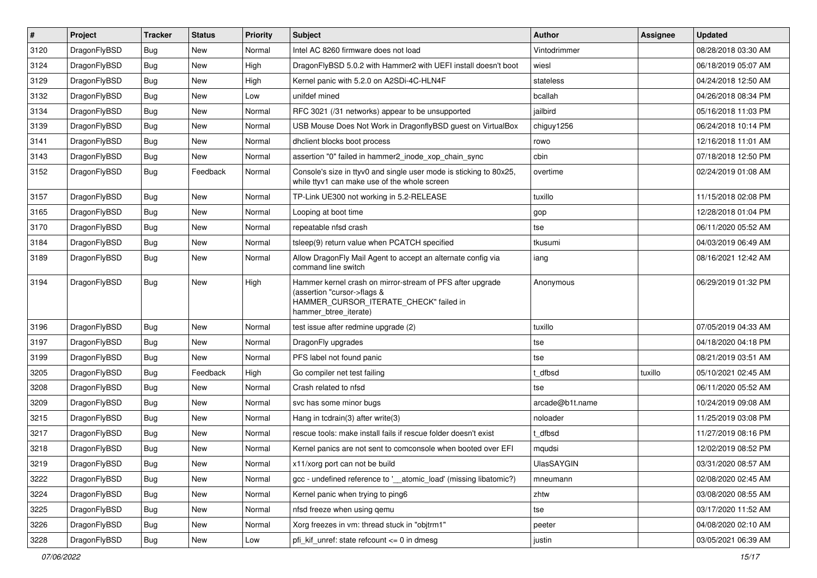| $\pmb{\#}$ | Project      | <b>Tracker</b> | <b>Status</b> | <b>Priority</b> | Subject                                                                                                                                                     | <b>Author</b>   | Assignee | <b>Updated</b>      |
|------------|--------------|----------------|---------------|-----------------|-------------------------------------------------------------------------------------------------------------------------------------------------------------|-----------------|----------|---------------------|
| 3120       | DragonFlyBSD | Bug            | <b>New</b>    | Normal          | Intel AC 8260 firmware does not load                                                                                                                        | Vintodrimmer    |          | 08/28/2018 03:30 AM |
| 3124       | DragonFlyBSD | Bug            | <b>New</b>    | High            | DragonFlyBSD 5.0.2 with Hammer2 with UEFI install doesn't boot                                                                                              | wiesl           |          | 06/18/2019 05:07 AM |
| 3129       | DragonFlyBSD | Bug            | New           | High            | Kernel panic with 5.2.0 on A2SDi-4C-HLN4F                                                                                                                   | stateless       |          | 04/24/2018 12:50 AM |
| 3132       | DragonFlyBSD | Bug            | <b>New</b>    | Low             | unifdef mined                                                                                                                                               | bcallah         |          | 04/26/2018 08:34 PM |
| 3134       | DragonFlyBSD | Bug            | <b>New</b>    | Normal          | RFC 3021 (/31 networks) appear to be unsupported                                                                                                            | jailbird        |          | 05/16/2018 11:03 PM |
| 3139       | DragonFlyBSD | Bug            | New           | Normal          | USB Mouse Does Not Work in DragonflyBSD guest on VirtualBox                                                                                                 | chiguy1256      |          | 06/24/2018 10:14 PM |
| 3141       | DragonFlyBSD | Bug            | <b>New</b>    | Normal          | dhclient blocks boot process                                                                                                                                | rowo            |          | 12/16/2018 11:01 AM |
| 3143       | DragonFlyBSD | Bug            | New           | Normal          | assertion "0" failed in hammer2_inode_xop_chain_sync                                                                                                        | cbin            |          | 07/18/2018 12:50 PM |
| 3152       | DragonFlyBSD | Bug            | Feedback      | Normal          | Console's size in ttyv0 and single user mode is sticking to 80x25,<br>while ttyv1 can make use of the whole screen                                          | overtime        |          | 02/24/2019 01:08 AM |
| 3157       | DragonFlyBSD | <b>Bug</b>     | <b>New</b>    | Normal          | TP-Link UE300 not working in 5.2-RELEASE                                                                                                                    | tuxillo         |          | 11/15/2018 02:08 PM |
| 3165       | DragonFlyBSD | Bug            | <b>New</b>    | Normal          | Looping at boot time                                                                                                                                        | gop             |          | 12/28/2018 01:04 PM |
| 3170       | DragonFlyBSD | Bug            | <b>New</b>    | Normal          | repeatable nfsd crash                                                                                                                                       | tse             |          | 06/11/2020 05:52 AM |
| 3184       | DragonFlyBSD | Bug            | New           | Normal          | tsleep(9) return value when PCATCH specified                                                                                                                | tkusumi         |          | 04/03/2019 06:49 AM |
| 3189       | DragonFlyBSD | Bug            | New           | Normal          | Allow DragonFly Mail Agent to accept an alternate config via<br>command line switch                                                                         | iang            |          | 08/16/2021 12:42 AM |
| 3194       | DragonFlyBSD | Bug            | New           | High            | Hammer kernel crash on mirror-stream of PFS after upgrade<br>(assertion "cursor->flags &<br>HAMMER_CURSOR_ITERATE_CHECK" failed in<br>hammer_btree_iterate) | Anonymous       |          | 06/29/2019 01:32 PM |
| 3196       | DragonFlyBSD | Bug            | <b>New</b>    | Normal          | test issue after redmine upgrade (2)                                                                                                                        | tuxillo         |          | 07/05/2019 04:33 AM |
| 3197       | DragonFlyBSD | Bug            | New           | Normal          | DragonFly upgrades                                                                                                                                          | tse             |          | 04/18/2020 04:18 PM |
| 3199       | DragonFlyBSD | Bug            | <b>New</b>    | Normal          | PFS label not found panic                                                                                                                                   | tse             |          | 08/21/2019 03:51 AM |
| 3205       | DragonFlyBSD | Bug            | Feedback      | High            | Go compiler net test failing                                                                                                                                | dfbsd           | tuxillo  | 05/10/2021 02:45 AM |
| 3208       | DragonFlyBSD | Bug            | <b>New</b>    | Normal          | Crash related to nfsd                                                                                                                                       | tse             |          | 06/11/2020 05:52 AM |
| 3209       | DragonFlyBSD | Bug            | <b>New</b>    | Normal          | svc has some minor bugs                                                                                                                                     | arcade@b1t.name |          | 10/24/2019 09:08 AM |
| 3215       | DragonFlyBSD | Bug            | <b>New</b>    | Normal          | Hang in tcdrain(3) after write(3)                                                                                                                           | noloader        |          | 11/25/2019 03:08 PM |
| 3217       | DragonFlyBSD | Bug            | <b>New</b>    | Normal          | rescue tools: make install fails if rescue folder doesn't exist                                                                                             | t_dfbsd         |          | 11/27/2019 08:16 PM |
| 3218       | DragonFlyBSD | Bug            | <b>New</b>    | Normal          | Kernel panics are not sent to comconsole when booted over EFI                                                                                               | mqudsi          |          | 12/02/2019 08:52 PM |
| 3219       | DragonFlyBSD | <b>Bug</b>     | New           | Normal          | x11/xorg port can not be build                                                                                                                              | UlasSAYGIN      |          | 03/31/2020 08:57 AM |
| 3222       | DragonFlyBSD | Bug            | New           | Normal          | gcc - undefined reference to '__atomic_load' (missing libatomic?)                                                                                           | mneumann        |          | 02/08/2020 02:45 AM |
| 3224       | DragonFlyBSD | Bug            | New           | Normal          | Kernel panic when trying to ping6                                                                                                                           | zhtw            |          | 03/08/2020 08:55 AM |
| 3225       | DragonFlyBSD | Bug            | New           | Normal          | nfsd freeze when using gemu                                                                                                                                 | tse             |          | 03/17/2020 11:52 AM |
| 3226       | DragonFlyBSD | <b>Bug</b>     | New           | Normal          | Xorg freezes in vm: thread stuck in "objtrm1"                                                                                                               | peeter          |          | 04/08/2020 02:10 AM |
| 3228       | DragonFlyBSD | Bug            | New           | Low             | pfi_kif_unref: state refcount <= 0 in dmesg                                                                                                                 | justin          |          | 03/05/2021 06:39 AM |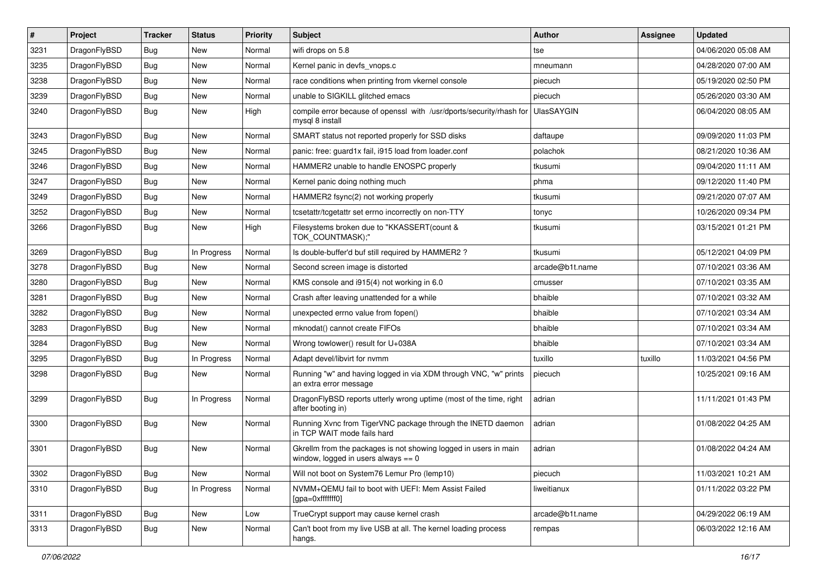| $\vert$ # | Project      | <b>Tracker</b> | <b>Status</b> | <b>Priority</b> | Subject                                                                                                   | Author            | Assignee | <b>Updated</b>      |
|-----------|--------------|----------------|---------------|-----------------|-----------------------------------------------------------------------------------------------------------|-------------------|----------|---------------------|
| 3231      | DragonFlyBSD | <b>Bug</b>     | <b>New</b>    | Normal          | wifi drops on 5.8                                                                                         | tse               |          | 04/06/2020 05:08 AM |
| 3235      | DragonFlyBSD | <b>Bug</b>     | <b>New</b>    | Normal          | Kernel panic in devfs vnops.c                                                                             | mneumann          |          | 04/28/2020 07:00 AM |
| 3238      | DragonFlyBSD | <b>Bug</b>     | <b>New</b>    | Normal          | race conditions when printing from vkernel console                                                        | piecuch           |          | 05/19/2020 02:50 PM |
| 3239      | DragonFlyBSD | Bug            | <b>New</b>    | Normal          | unable to SIGKILL glitched emacs                                                                          | piecuch           |          | 05/26/2020 03:30 AM |
| 3240      | DragonFlyBSD | Bug            | <b>New</b>    | High            | compile error because of openssl with /usr/dports/security/rhash for<br>mysql 8 install                   | <b>UlasSAYGIN</b> |          | 06/04/2020 08:05 AM |
| 3243      | DragonFlyBSD | Bug            | New           | Normal          | SMART status not reported properly for SSD disks                                                          | daftaupe          |          | 09/09/2020 11:03 PM |
| 3245      | DragonFlyBSD | <b>Bug</b>     | New           | Normal          | panic: free: guard1x fail, i915 load from loader.conf                                                     | polachok          |          | 08/21/2020 10:36 AM |
| 3246      | DragonFlyBSD | Bug            | <b>New</b>    | Normal          | HAMMER2 unable to handle ENOSPC properly                                                                  | tkusumi           |          | 09/04/2020 11:11 AM |
| 3247      | DragonFlyBSD | Bug            | <b>New</b>    | Normal          | Kernel panic doing nothing much                                                                           | phma              |          | 09/12/2020 11:40 PM |
| 3249      | DragonFlyBSD | <b>Bug</b>     | <b>New</b>    | Normal          | HAMMER2 fsync(2) not working properly                                                                     | tkusumi           |          | 09/21/2020 07:07 AM |
| 3252      | DragonFlyBSD | Bug            | <b>New</b>    | Normal          | tcsetattr/tcgetattr set errno incorrectly on non-TTY                                                      | tonyc             |          | 10/26/2020 09:34 PM |
| 3266      | DragonFlyBSD | Bug            | New           | High            | Filesystems broken due to "KKASSERT(count &<br>TOK_COUNTMASK);"                                           | tkusumi           |          | 03/15/2021 01:21 PM |
| 3269      | DragonFlyBSD | Bug            | In Progress   | Normal          | Is double-buffer'd buf still required by HAMMER2?                                                         | tkusumi           |          | 05/12/2021 04:09 PM |
| 3278      | DragonFlyBSD | <b>Bug</b>     | New           | Normal          | Second screen image is distorted                                                                          | arcade@b1t.name   |          | 07/10/2021 03:36 AM |
| 3280      | DragonFlyBSD | Bug            | <b>New</b>    | Normal          | KMS console and i915(4) not working in 6.0                                                                | cmusser           |          | 07/10/2021 03:35 AM |
| 3281      | DragonFlyBSD | <b>Bug</b>     | <b>New</b>    | Normal          | Crash after leaving unattended for a while                                                                | bhaible           |          | 07/10/2021 03:32 AM |
| 3282      | DragonFlyBSD | <b>Bug</b>     | New           | Normal          | unexpected errno value from fopen()                                                                       | bhaible           |          | 07/10/2021 03:34 AM |
| 3283      | DragonFlyBSD | Bug            | <b>New</b>    | Normal          | mknodat() cannot create FIFOs                                                                             | bhaible           |          | 07/10/2021 03:34 AM |
| 3284      | DragonFlyBSD | <b>Bug</b>     | New           | Normal          | Wrong towlower() result for U+038A                                                                        | bhaible           |          | 07/10/2021 03:34 AM |
| 3295      | DragonFlyBSD | Bug            | In Progress   | Normal          | Adapt devel/libvirt for nvmm                                                                              | tuxillo           | tuxillo  | 11/03/2021 04:56 PM |
| 3298      | DragonFlyBSD | Bug            | New           | Normal          | Running "w" and having logged in via XDM through VNC, "w" prints<br>an extra error message                | piecuch           |          | 10/25/2021 09:16 AM |
| 3299      | DragonFlyBSD | Bug            | In Progress   | Normal          | DragonFlyBSD reports utterly wrong uptime (most of the time, right<br>after booting in)                   | adrian            |          | 11/11/2021 01:43 PM |
| 3300      | DragonFlyBSD | Bug            | New           | Normal          | Running Xvnc from TigerVNC package through the INETD daemon<br>in TCP WAIT mode fails hard                | adrian            |          | 01/08/2022 04:25 AM |
| 3301      | DragonFlyBSD | <b>Bug</b>     | <b>New</b>    | Normal          | Gkrellm from the packages is not showing logged in users in main<br>window, logged in users always $== 0$ | adrian            |          | 01/08/2022 04:24 AM |
| 3302      | DragonFlyBSD | <b>Bug</b>     | New           | Normal          | Will not boot on System76 Lemur Pro (lemp10)                                                              | piecuch           |          | 11/03/2021 10:21 AM |
| 3310      | DragonFlyBSD | <b>Bug</b>     | In Progress   | Normal          | NVMM+QEMU fail to boot with UEFI: Mem Assist Failed<br>[gpa=0xfffffff0]                                   | liweitianux       |          | 01/11/2022 03:22 PM |
| 3311      | DragonFlyBSD | <b>Bug</b>     | New           | Low             | TrueCrypt support may cause kernel crash                                                                  | arcade@b1t.name   |          | 04/29/2022 06:19 AM |
| 3313      | DragonFlyBSD | <b>Bug</b>     | New           | Normal          | Can't boot from my live USB at all. The kernel loading process<br>hangs.                                  | rempas            |          | 06/03/2022 12:16 AM |